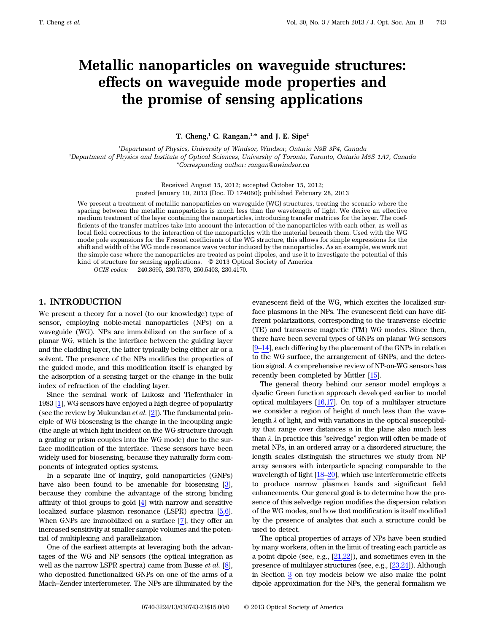# Metallic nanoparticles on waveguide structures: effects on waveguide mode properties and the promise of sensing applications

T. Cheng,<sup>1</sup> C. Rangan,<sup>1,\*</sup> and J. E. Sipe<sup>2</sup>

<sup>1</sup>Department of Physics, University of Windsor, Windsor, Ontario N9B 3P4, Canada 2 Department of Physics and Institute of Optical Sciences, University of Toronto, Toronto, Ontario M5S 1A7, Canada \*Corresponding author: rangan@uwindsor.ca

> Received August 15, 2012; accepted October 15, 2012; posted January 10, 2013 (Doc. ID 174060); published February 28, 2013

We present a treatment of metallic nanoparticles on waveguide (WG) structures, treating the scenario where the spacing between the metallic nanoparticles is much less than the wavelength of light. We derive an effective medium treatment of the layer containing the nanoparticles, introducing transfer matrices for the layer. The coefficients of the transfer matrices take into account the interaction of the nanoparticles with each other, as well as local field corrections to the interaction of the nanoparticles with the material beneath them. Used with the WG mode pole expansions for the Fresnel coefficients of the WG structure, this allows for simple expressions for the shift and width of the WG mode resonance wave vector induced by the nanoparticles. As an example, we work out the simple case where the nanoparticles are treated as point dipoles, and use it to investigate the potential of this kind of structure for sensing applications. © 2013 Optical Society of America

OCIS codes: 240.3695, 230.7370, 250.5403, 230.4170.

## 1. INTRODUCTION

We present a theory for a novel (to our knowledge) type of sensor, employing noble-metal nanoparticles (NPs) on a waveguide (WG). NPs are immobilized on the surface of a planar WG, which is the interface between the guiding layer and the cladding layer, the latter typically being either air or a solvent. The presence of the NPs modifies the properties of the guided mode, and this modification itself is changed by the adsorption of a sensing target or the change in the bulk index of refraction of the cladding layer.

Since the seminal work of Lukosz and Tiefenthaler in 1983 [[1](#page-22-0)], WG sensors have enjoyed a high degree of popularity (see the review by Mukundan  $et$   $al.$  [\[2\]](#page-22-1)). The fundamental principle of WG biosensing is the change in the incoupling angle (the angle at which light incident on the WG structure through a grating or prism couples into the WG mode) due to the surface modification of the interface. These sensors have been widely used for biosensing, because they naturally form components of integrated optics systems.

In a separate line of inquiry, gold nanoparticles (GNPs) have also been found to be amenable for biosensing [\[3\]](#page-22-2), because they combine the advantage of the strong binding affinity of thiol groups to gold [\[4\]](#page-22-3) with narrow and sensitive localized surface plasmon resonance (LSPR) spectra [[5](#page-22-4)[,6\]](#page-22-5). When GNPs are immobilized on a surface [\[7\]](#page-22-6), they offer an increased sensitivity at smaller sample volumes and the potential of multiplexing and parallelization.

One of the earliest attempts at leveraging both the advantages of the WG and NP sensors (the optical integration as well as the narrow LSPR spectra) came from Busse *et al.* [\[8\]](#page-22-7), who deposited functionalized GNPs on one of the arms of a Mach–Zender interferometer. The NPs are illuminated by the

evanescent field of the WG, which excites the localized surface plasmons in the NPs. The evanescent field can have different polarizations, corresponding to the transverse electric (TE) and transverse magnetic (TM) WG modes. Since then, there have been several types of GNPs on planar WG sensors  $[9-14]$  $[9-14]$  $[9-14]$  $[9-14]$ , each differing by the placement of the GNPs in relation to the WG surface, the arrangement of GNPs, and the detection signal. A comprehensive review of NP-on-WG sensors has recently been completed by Mittler [[15\]](#page-22-10).

The general theory behind our sensor model employs a dyadic Green function approach developed earlier to model optical multilayers [[16,](#page-22-11)[17\]](#page-22-12). On top of a multilayer structure we consider a region of height  $d$  much less than the wavelength  $\lambda$  of light, and with variations in the optical susceptibility that range over distances  $a$  in the plane also much less than <sup>λ</sup>. In practice this "selvedge" region will often be made of metal NPs, in an ordered array or a disordered structure; the length scales distinguish the structures we study from NP array sensors with interparticle spacing comparable to the wavelength of light [\[18](#page-22-13)–[20\]](#page-22-14), which use interferometric effects to produce narrow plasmon bands and significant field enhancements. Our general goal is to determine how the presence of this selvedge region modifies the dispersion relation of the WG modes, and how that modification is itself modified by the presence of analytes that such a structure could be used to detect.

The optical properties of arrays of NPs have been studied by many workers, often in the limit of treating each particle as a point dipole (see, e.g., [\[21](#page-22-15),[22\]](#page-22-16)), and sometimes even in the presence of multilayer structures (see, e.g., [\[23](#page-22-17)[,24](#page-22-18)]). Although in Section [3](#page-10-0) on toy models below we also make the point dipole approximation for the NPs, the general formalism we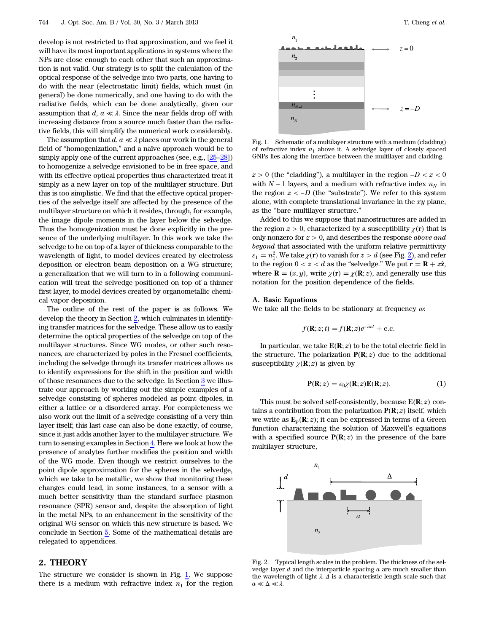develop is not restricted to that approximation, and we feel it will have its most important applications in systems where the NPs are close enough to each other that such an approximation is not valid. Our strategy is to split the calculation of the optical response of the selvedge into two parts, one having to do with the near (electrostatic limit) fields, which must (in general) be done numerically, and one having to do with the radiative fields, which can be done analytically, given our assumption that  $d, a \ll \lambda$ . Since the near fields drop off with increasing distance from a source much faster than the radiative fields, this will simplify the numerical work considerably.

The assumption that  $d, a \ll \lambda$  places our work in the general field of "homogenization," and a naïve approach would be to simply apply one of the current approaches (see, e.g., [\[25](#page-22-19)–[28\]](#page-22-20)) to homogenize a selvedge envisioned to be in free space, and with its effective optical properties thus characterized treat it simply as a new layer on top of the multilayer structure. But this is too simplistic. We find that the effective optical properties of the selvedge itself are affected by the presence of the multilayer structure on which it resides, through, for example, the image dipole moments in the layer below the selvedge. Thus the homogenization must be done explicitly in the presence of the underlying multilayer. In this work we take the selvedge to be on top of a layer of thickness comparable to the wavelength of light, to model devices created by electroless deposition or electron beam deposition on a WG structure; a generalization that we will turn to in a following communication will treat the selvedge positioned on top of a thinner first layer, to model devices created by organometallic chemical vapor deposition.

The outline of the rest of the paper is as follows. We develop the theory in Section [2](#page-1-0), which culminates in identifying transfer matrices for the selvedge. These allow us to easily determine the optical properties of the selvedge on top of the multilayer structures. Since WG modes, or other such resonances, are characterized by poles in the Fresnel coefficients, including the selvedge through its transfer matrices allows us to identify expressions for the shift in the position and width of those resonances due to the selvedge. In Section [3](#page-10-0) we illustrate our approach by working out the simple examples of a selvedge consisting of spheres modeled as point dipoles, in either a lattice or a disordered array. For completeness we also work out the limit of a selvedge consisting of a very thin layer itself; this last case can also be done exactly, of course, since it just adds another layer to the multilayer structure. We turn to sensing examples in Section [4.](#page-13-0) Here we look at how the presence of analytes further modifies the position and width of the WG mode. Even though we restrict ourselves to the point dipole approximation for the spheres in the selvedge, which we take to be metallic, we show that monitoring these changes could lead, in some instances, to a sensor with a much better sensitivity than the standard surface plasmon resonance (SPR) sensor and, despite the absorption of light in the metal NPs, to an enhancement in the sensitivity of the original WG sensor on which this new structure is based. We conclude in Section [5](#page-18-0). Some of the mathematical details are relegated to appendices.

## <span id="page-1-0"></span>2. THEORY

The structure we consider is shown in Fig. [1](#page-1-1). We suppose there is a medium with refractive index  $n_1$  for the region

<span id="page-1-1"></span>

Fig. 1. Schematic of a multilayer structure with a medium (cladding) of refractive index  $n_1$  above it. A selvedge layer of closely spaced GNPs lies along the interface between the multilayer and cladding.

 $z > 0$  (the "cladding"), a multilayer in the region  $-D < z < 0$ with  $N - 1$  layers, and a medium with refractive index  $n<sub>N</sub>$  in the region  $z < -D$  (the "substrate"). We refer to this system alone, with complete translational invariance in the  $xy$  plane, as the "bare multilayer structure."

Added to this we suppose that nanostructures are added in the region  $z > 0$ , characterized by a susceptibility  $\chi(\mathbf{r})$  that is only nonzero for  $z > 0$ , and describes the response *above and* beyond that associated with the uniform relative permittivity  $\varepsilon_1 = n_1^2$  $\varepsilon_1 = n_1^2$ . We take  $\chi(\mathbf{r})$  to vanish for  $z > d$  (see Fig. 2), and refer to the region  $0 < z < d$  as the "selvedge." We put  $\mathbf{r} = \mathbf{R} + z\hat{\mathbf{z}}$ , where **R** =  $(x, y)$ , write  $\chi(\mathbf{r}) = \chi(\mathbf{R}; z)$ , and generally use this notation for the position dependence of the fields.

#### A. Basic Equations

We take all the fields to be stationary at frequency  $\omega$ :

$$
f(\mathbf{R}; z; t) = f(\mathbf{R}; z)e^{-i\omega t} + \text{c.c.}
$$

<span id="page-1-3"></span>In particular, we take  $E(R; z)$  to be the total electric field in the structure. The polarization  $P(R; z)$  due to the additional susceptibility  $\chi(\mathbf{R}; z)$  is given by

$$
\mathbf{P}(\mathbf{R};z) = \epsilon_0 \chi(\mathbf{R};z) \mathbf{E}(\mathbf{R};z). \tag{1}
$$

This must be solved self-consistently, because  $E(R; z)$  contains a contribution from the polarization  $P(R; z)$  itself, which we write as  $\mathbf{E}_p(\mathbf{R}; z)$ ; it can be expressed in terms of a Green function characterizing the solution of Maxwell's equations with a specified source  $P(R; z)$  in the presence of the bare multilayer structure,

<span id="page-1-4"></span><span id="page-1-2"></span>

Fig. 2. Typical length scales in the problem. The thickness of the selvedge layer  $d$  and the interparticle spacing  $a$  are much smaller than the wavelength of light  $\lambda$ .  $\Delta$  is a characteristic length scale such that  $a \ll \Delta \ll \lambda$ .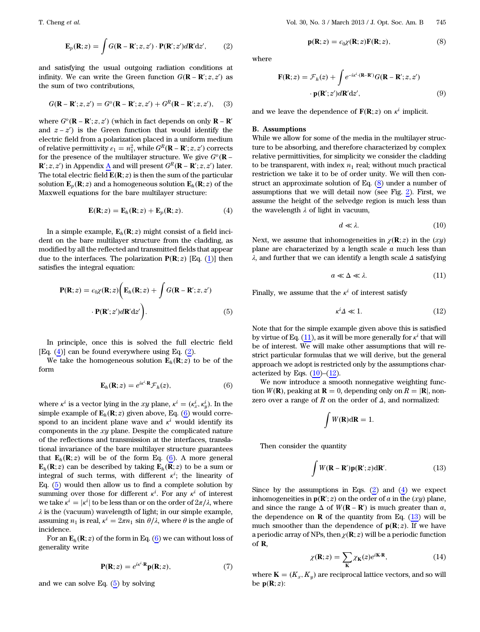$$
\mathbf{E}_p(\mathbf{R};z) = \int G(\mathbf{R} - \mathbf{R}';z,z') \cdot \mathbf{P}(\mathbf{R}';z') d\mathbf{R}' dz', \qquad (2)
$$

<span id="page-2-10"></span>and satisfying the usual outgoing radiation conditions at infinity. We can write the Green function  $G(\mathbf{R} - \mathbf{R}'; z, z')$  as the sum of two contributions,

$$
G(\mathbf{R} - \mathbf{R}'; z, z') = G^o(\mathbf{R} - \mathbf{R}'; z, z') + G^R(\mathbf{R} - \mathbf{R}'; z, z'), \quad (3)
$$

where  $G^o(\mathbf{R} - \mathbf{R}'; z, z')$  (which in fact depends on only  $\mathbf{R} - \mathbf{R}'$ and  $z - z'$ ) is the Green function that would identify the electric field from a polarization placed in a uniform medium of relative permittivity  $\varepsilon_1 = n_1^2$ , while  $G^R$ (**R** – **R**';  $z$ ,  $z'$ ) corrects for the presence of the multilayer structure. We give  $G^o(\mathbf{R} - \mathbf{S})$  $\mathbf{R}'; z, z'$ ) in Appendix <u>A</u> and will present  $G^R(\mathbf{R} - \mathbf{R}'; z, z')$  later. The total electric field  $\mathbf{E}(\mathbf{R};z)$  is then the sum of the particular solution  $\mathbf{E}_p(\mathbf{R}; z)$  and a homogeneous solution  $\mathbf{E}_h(\mathbf{R}; z)$  of the Maxwell equations for the bare multilayer structure:

$$
\mathbf{E}(\mathbf{R};z) = \mathbf{E}_h(\mathbf{R};z) + \mathbf{E}_p(\mathbf{R};z).
$$
 (4)

<span id="page-2-0"></span>In a simple example,  $\mathbf{E}_h(\mathbf{R}; z)$  might consist of a field incident on the bare multilayer structure from the cladding, as modified by all the reflected and transmitted fields that appear due to the interfaces. The polarization  $P(R; z)$  [Eq. ([1](#page-1-3))] then satisfies the integral equation:

<span id="page-2-2"></span>
$$
\mathbf{P}(\mathbf{R};z) = \epsilon_0 \chi(\mathbf{R};z) \bigg( \mathbf{E}_h(\mathbf{R};z) + \int G(\mathbf{R} - \mathbf{R}';z,z') \cdot \mathbf{P}(\mathbf{R}';z') d\mathbf{R}' dz' \bigg).
$$
\n(5)

In principle, once this is solved the full electric field [Eq.  $(4)$ ] can be found everywhere using Eq.  $(2)$ .

<span id="page-2-1"></span>We take the homogeneous solution  $\mathbf{E}_h(\mathbf{R}; z)$  to be of the form

$$
\mathbf{E}_h(\mathbf{R};z) = e^{i\kappa^i \cdot \mathbf{R}} \mathcal{F}_h(z),\tag{6}
$$

where  $\kappa^i$  is a vector lying in the  $xy$  plane,  $\kappa^i = (\kappa_x^i, \kappa_y^i)$ . In the simple example of  $\mathbf{E}_h(\mathbf{R}; z)$  given above, Eq. [\(6\)](#page-2-1) would correspond to an incident plane wave and  $\kappa^i$  would identify its components in the  $xy$  plane. Despite the complicated nature of the reflections and transmission at the interfaces, translational invariance of the bare multilayer structure guarantees that  $\mathbf{E}_h(\mathbf{R}; z)$  will be of the form Eq. [\(6\)](#page-2-1). A more general  $\mathbf{E}_h(\mathbf{R}; z)$  can be described by taking  $\mathbf{E}_h(\overline{\mathbf{R}}; z)$  to be a sum or integral of such terms, with different  $\kappa^i$ ; the linearity of Eq. ([5](#page-2-2)) would then allow us to find a complete solution by summing over those for different  $\kappa^i$ . For any  $\kappa^i$  of interest we take  $\kappa^i = |\kappa^i|$  to be less than or on the order of  $2\pi/\lambda$ , where  $\lambda$  is the (vacuum) wavelength of light; in our simple example, assuming  $n_1$  is real,  $\kappa^i = 2\pi n_1 \sin \theta / \lambda$ , where  $\theta$  is the angle of incidence.

<span id="page-2-9"></span>For an  $\mathbf{E}_h(\mathbf{R}; z)$  of the form in Eq. ([6\)](#page-2-1) we can without loss of generality write

$$
\mathbf{P}(\mathbf{R};z) = e^{i\kappa^i \cdot \mathbf{R}} \mathbf{p}(\mathbf{R};z),\tag{7}
$$

<span id="page-2-3"></span>and we can solve Eq.  $(5)$  by solving

$$
\mathbf{p}(\mathbf{R};z) = \epsilon_0 \chi(\mathbf{R};z) \mathbf{F}(\mathbf{R};z),\tag{8}
$$

<span id="page-2-11"></span>where

$$
\mathbf{F}(\mathbf{R};z) = \mathcal{F}_h(z) + \int e^{-i\mathbf{x}^i \cdot (\mathbf{R} - \mathbf{R}')} G(\mathbf{R} - \mathbf{R}';z,z')
$$

$$
\cdot \mathbf{p}(\mathbf{R}';z')d\mathbf{R}'dz', \tag{9}
$$

and we leave the dependence of  $F(R; z)$  on  $\kappa^i$  implicit.

#### B. Assumptions

While we allow for some of the media in the multilayer structure to be absorbing, and therefore characterized by complex relative permittivities, for simplicity we consider the cladding to be transparent, with index  $n_1$  real; without much practical restriction we take it to be of order unity. We will then construct an approximate solution of Eq. ([8](#page-2-3)) under a number of assumptions that we will detail now (see Fig. [2\)](#page-1-2). First, we assume the height of the selvedge region is much less than the wavelength  $\lambda$  of light in vacuum,

$$
d \ll \lambda. \tag{10}
$$

<span id="page-2-5"></span><span id="page-2-4"></span>Next, we assume that inhomogeneities in  $\chi(\mathbf{R}; z)$  in the  $(xy)$ plane are characterized by a length scale  $a$  much less than λ, and further that we can identify a length scale Δ satisfying

$$
a \ll \Delta \ll \lambda. \tag{11}
$$

<span id="page-2-6"></span>Finally, we assume that the  $\kappa^i$  of interest satisfy

$$
\kappa^i \Delta \ll 1. \tag{12}
$$

Note that for the simple example given above this is satisfied by virtue of Eq. [\(11](#page-2-4)), as it will be more generally for  $\kappa^i$  that will be of interest. We will make other assumptions that will restrict particular formulas that we will derive, but the general approach we adopt is restricted only by the assumptions characterized by Eqs.  $(10)$  $(10)$ – $(12)$  $(12)$ .

We now introduce a smooth nonnegative weighting function  $W(\mathbf{R})$ , peaking at  $\mathbf{R} = 0$ , depending only on  $R = |\mathbf{R}|$ , nonzero over a range of R on the order of  $\Delta$ , and normalized:

$$
\int W(\mathbf{R})\mathrm{d}\mathbf{R}=1.
$$

<span id="page-2-7"></span>Then consider the quantity

$$
\int W(\mathbf{R} - \mathbf{R}') \mathbf{p}(\mathbf{R}'; z) d\mathbf{R}'. \tag{13}
$$

Since by the assumptions in Eqs.  $(2)$  $(2)$  $(2)$  and  $(4)$  $(4)$  $(4)$  we expect inhomogeneities in  $p(\mathbf{R}'; z)$  on the order of a in the  $(xy)$  plane, and since the range  $\Delta$  of  $W(\mathbf{R} - \mathbf{R}')$  is much greater than  $a$ , the dependence on  $\bf{R}$  of the quantity from Eq. [\(13](#page-2-7)) will be much smoother than the dependence of  $p(R; z)$ . If we have a periodic array of NPs, then  $\chi(\mathbf{R}; z)$  will be a periodic function of R,

$$
\chi(\mathbf{R};z) = \sum_{\mathbf{K}} \chi_{\mathbf{K}}(z) e^{i\mathbf{K}\cdot\mathbf{R}},\tag{14}
$$

<span id="page-2-8"></span>where  $\mathbf{K} = (K_x, K_y)$  are reciprocal lattice vectors, and so will be  $p(R; z)$ :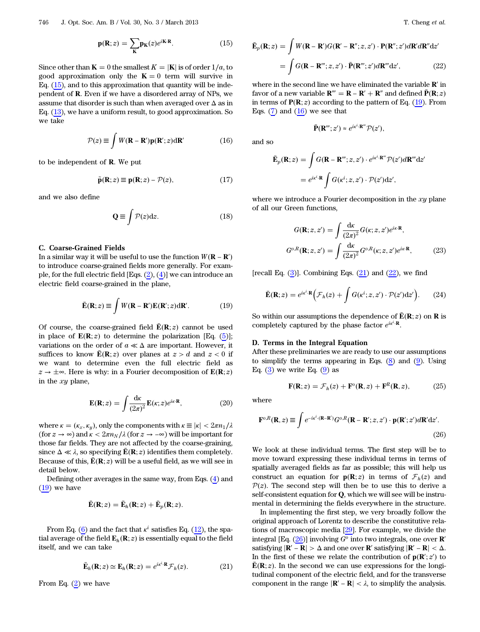$$
\mathbf{p}(\mathbf{R};z) = \sum_{\mathbf{K}} \mathbf{p}_{\mathbf{K}}(z)e^{i\mathbf{K}\cdot\mathbf{R}}.
$$
 (15)

Since other than  $\mathbf{K} = 0$  the smallest  $K = |\mathbf{K}|$  is of order 1/a, to good approximation only the  $K = 0$  term will survive in Eq.  $(15)$  $(15)$ , and to this approximation that quantity will be independent of R. Even if we have a disordered array of NPs, we assume that disorder is such than when averaged over  $\Delta$  as in Eq. ([13](#page-2-7)), we have a uniform result, to good approximation. So we take

$$
\mathcal{P}(z) \equiv \int W(\mathbf{R} - \mathbf{R}') \mathbf{p}(\mathbf{R}'; z) d\mathbf{R}' \tag{16}
$$

<span id="page-3-6"></span><span id="page-3-1"></span>to be independent of R. We put

$$
\tilde{\mathbf{p}}(\mathbf{R};z) \equiv \mathbf{p}(\mathbf{R};z) - \mathcal{P}(z),\tag{17}
$$

<span id="page-3-8"></span>and we also define

$$
\mathbf{Q} \equiv \int \mathcal{P}(z) \, \mathrm{d}z. \tag{18}
$$

#### C. Coarse-Grained Fields

<span id="page-3-0"></span>In a similar way it will be useful to use the function  $W(\mathbf{R} - \mathbf{R}')$ to introduce coarse-grained fields more generally. For example, for the full electric field [Eqs.  $(2)$ ,  $(4)$ ] we can introduce an electric field coarse-grained in the plane,

$$
\bar{\mathbf{E}}(\mathbf{R};z) \equiv \int W(\mathbf{R} - \mathbf{R}') \mathbf{E}(\mathbf{R}';z) d\mathbf{R}'. \tag{19}
$$

<span id="page-3-9"></span>Of course, the coarse-grained field  $\bar{E}(R; z)$  cannot be used in place of  $E(R; z)$  to determine the polarization [Eq. ([5](#page-2-2))]; variations on the order of  $a \ll \Delta$  are important. However, it suffices to know  $\bar{\mathbf{E}}(\mathbf{R}; z)$  over planes at  $z > d$  and  $z < 0$  if we want to determine even the full electric field as  $z \to \pm \infty$ . Here is why: in a Fourier decomposition of **E(R**; z) in the  $xy$  plane,

$$
\mathbf{E}(\mathbf{R};z) = \int \frac{d\mathbf{x}}{(2\pi)^2} \mathbf{E}(\mathbf{x};z) e^{i\mathbf{x}\cdot\mathbf{R}},
$$
 (20)

where  $\kappa = (\kappa_x, \kappa_y)$ , only the components with  $\kappa \equiv |\kappa| < 2\pi n_1/\lambda$ (for  $z \to \infty$ ) and  $\kappa < 2\pi n_N/\lambda$  (for  $z \to -\infty$ ) will be important for those far fields. They are not affected by the coarse-graining, since  $\Delta \ll \lambda$ , so specifying  $\bar{E}(\mathbf{R}; z)$  identifies them completely. Because of this,  $\bar{\mathbf{E}}(\mathbf{R}; z)$  will be a useful field, as we will see in detail below.

Defining other averages in the same way, from Eqs. [\(4\)](#page-2-0) and ([19](#page-3-0)) we have

$$
\bar{\mathbf{E}}(\mathbf{R};z) = \bar{\mathbf{E}}_h(\mathbf{R};z) + \bar{\mathbf{E}}_p(\mathbf{R};z).
$$

<span id="page-3-2"></span>From Eq. ([6\)](#page-2-1) and the fact that  $\kappa^i$  satisfies Eq. [\(12](#page-2-6)), the spatial average of the field  $\mathbf{E}_h(\mathbf{R}; z)$  is essentially equal to the field itself, and we can take

$$
\bar{\mathbf{E}}_h(\mathbf{R};z) \simeq \mathbf{E}_h(\mathbf{R};z) = e^{i\kappa^i \cdot \mathbf{R}} \mathcal{F}_h(z).
$$
 (21)

<span id="page-3-3"></span>From Eq. ([2](#page-1-4)) we have

$$
\bar{\mathbf{E}}_p(\mathbf{R};z) = \int W(\mathbf{R}-\mathbf{R}')G(\mathbf{R}'-\mathbf{R}'';z,z') \cdot \mathbf{P}(\mathbf{R}'';z')d\mathbf{R}'d\mathbf{R}''dz'
$$
\n
$$
= \int G(\mathbf{R}-\mathbf{R}''';z,z') \cdot \bar{\mathbf{P}}(\mathbf{R}''';z')d\mathbf{R}'''dz', \qquad (22)
$$

where in the second line we have eliminated the variable  $\mathbb{R}'$  in favor of a new variable  $\mathbf{R}^{"'} = \mathbf{R} - \mathbf{R}' + \mathbf{R}^{"}$  and defined  $\bar{\mathbf{P}}(\mathbf{R}; z)$ in terms of  $P(R; z)$  according to the pattern of Eq. ([19](#page-3-0)). From Eqs.  $(7)$  and  $(16)$  $(16)$  we see that

$$
\bar{\mathbf{P}}(\mathbf{R}''';z')\approx e^{i\kappa^i\cdot\mathbf{R}'''}\mathcal{P}(z'),
$$

and so

$$
\begin{aligned} \bar{\mathbf{E}}_p(\mathbf{R}; z) &= \int G(\mathbf{R} - \mathbf{R}^m; z, z') \cdot e^{i\kappa^i \cdot \mathbf{R}^m} \mathcal{P}(z') d\mathbf{R}^m \mathrm{d}z' \\ &= e^{i\kappa^i \cdot \mathbf{R}} \int G(\kappa^i; z, z') \cdot \mathcal{P}(z') \mathrm{d}z', \end{aligned}
$$

<span id="page-3-5"></span>where we introduce a Fourier decomposition in the  $xy$  plane of all our Green functions,

$$
G(\mathbf{R}; z, z') = \int \frac{\mathrm{d}\kappa}{(2\pi)^2} G(\kappa; z, z') e^{i\kappa \cdot \mathbf{R}},
$$

$$
G^{o,R}(\mathbf{R}; z, z') = \int \frac{\mathrm{d}\kappa}{(2\pi)^2} G^{o,R}(\kappa; z, z') e^{i\kappa \cdot \mathbf{R}},
$$
(23)

<span id="page-3-10"></span>[recall Eq.  $(3)$ ]. Combining Eqs.  $(21)$  $(21)$  and  $(22)$  $(22)$ , we find

$$
\bar{\mathbf{E}}(\mathbf{R};z) = e^{i\kappa^i \cdot \mathbf{R}} \Big( \mathcal{F}_h(z) + \int G(\kappa^i; z, z') \cdot \mathcal{P}(z') \mathrm{d}z' \Big). \tag{24}
$$

So within our assumptions the dependence of  $\mathbf{\bar{E}}(\mathbf{R}; z)$  on **R** is completely captured by the phase factor  $e^{i\kappa^i \cdot \mathbf{R}}$ .

#### D. Terms in the Integral Equation

<span id="page-3-7"></span>After these preliminaries we are ready to use our assumptions to simplify the terms appearing in Eqs.  $(8)$  and  $(9)$ . Using Eq.  $(3)$  we write Eq.  $(9)$  $(9)$  $(9)$  as

$$
\mathbf{F}(\mathbf{R};z) = \mathcal{F}_h(z) + \mathbf{F}^\circ(\mathbf{R},z) + \mathbf{F}^R(\mathbf{R},z),\tag{25}
$$

<span id="page-3-4"></span>where

$$
\mathbf{F}^{o,R}(\mathbf{R},z) \equiv \int e^{-i\kappa^i \cdot (\mathbf{R}-\mathbf{R}')} G^{o,R}(\mathbf{R}-\mathbf{R}';z,z') \cdot \mathbf{p}(\mathbf{R}';z') d\mathbf{R}' dz'.
$$
\n(26)

We look at these individual terms. The first step will be to move toward expressing these individual terms in terms of spatially averaged fields as far as possible; this will help us construct an equation for  $p(R; z)$  in terms of  $\mathcal{F}_h(z)$  and  $P(z)$ . The second step will then be to use this to derive a self-consistent equation for Q, which we will see will be instrumental in determining the fields everywhere in the structure.

In implementing the first step, we very broadly follow the original approach of Lorentz to describe the constitutive relations of macroscopic media [\[29](#page-22-21)]. For example, we divide the integral [Eq.  $(26)$  $(26)$ ] involving  $G<sup>o</sup>$  into two integrals, one over **R'** satisfying  $|\mathbf{R}' - \mathbf{R}| > \Delta$  and one over **R**' satisfying  $|\mathbf{R}' - \mathbf{R}| < \Delta$ . In the first of these we relate the contribution of  $p(\mathbf{R}'; z')$  to  $\bar{\mathbf{E}}(\mathbf{R}; z)$ . In the second we can use expressions for the longitudinal component of the electric field, and for the transverse component in the range  $|\mathbf{R}' - \mathbf{R}| < \lambda$ , to simplify the analysis.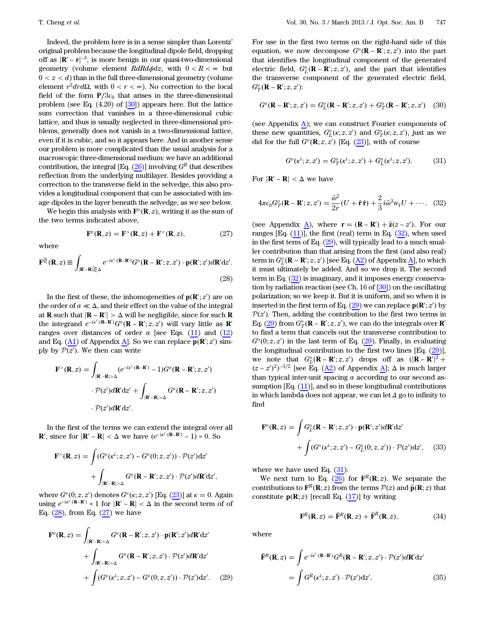Indeed, the problem here is in a sense simpler than Lorentz' original problem because the longitudinal dipole field, dropping off as  $|\mathbf{R}' - \mathbf{r}|^{-3}$ , is more benign in our quasi-two-dimensional geometry (volume element  $RdRd\phi dz$ , with  $0 < R < \infty$  but  $0 < z < d$ ) than in the full three-dimensional geometry (volume element  $r^2 dr d\Omega$ , with  $0 < r < \infty$ ). No correction to the local field of the form  $P/3\epsilon_0$  that arises in the three-dimensional problem (see Eq. (4.20) of [[30\]](#page-22-22)) appears here. But the lattice sum correction that vanishes in a three-dimensional cubic lattice, and thus is usually neglected in three-dimensional problems, generally does not vanish in a two-dimensional lattice, even if it is cubic, and so it appears here. And in another sense our problem is more complicated than the usual analysis for a macroscopic three-dimensional medium: we have an additional contribution, the integral [Eq.  $(26)$  $(26)$ ] involving  $G<sup>R</sup>$  that describes reflection from the underlying multilayer. Besides providing a correction to the transverse field in the selvedge, this also provides a longitudinal component that can be associated with image dipoles in the layer beneath the selvedge, as we see below.

<span id="page-4-1"></span>We begin this analysis with  $\mathbf{F}^o(\mathbf{R}, z)$ , writing it as the sum of the two terms indicated above,

$$
\mathbf{F}^{\circ}(\mathbf{R},z) = \mathbf{F}^{\circ}(\mathbf{R},z) + \mathbf{F}^{\circ}(\mathbf{R},z), \tag{27}
$$

<span id="page-4-0"></span>where

$$
\mathbf{F}^{\gtrless}(\mathbf{R},z) \equiv \int_{|\mathbf{R}'-\mathbf{R}| \gtrless \Delta} e^{-i\kappa^i \cdot (\mathbf{R}-\mathbf{R}')} G^o(\mathbf{R}-\mathbf{R}';z,z') \cdot \mathbf{p}(\mathbf{R}';z') d\mathbf{R}' dz'.
$$
\n(28)

In the first of these, the inhomogeneities of  $\mathbf{p}(\mathbf{R}';z')$  are on the order of  $a \ll \Delta$ , and their effect on the value of the integral at **R** such that  $|\mathbf{R} - \mathbf{R}'| > \Delta$  will be negligible, since for such **R** the integrand  $e^{-ix^i \cdot (\mathbf{R} - \mathbf{R}')} G^o(\mathbf{R} - \mathbf{R}'; z, z')$  will vary little as **R**<sup>*'*</sup> ranges over distances of order  $\alpha$  [see Eqs. ([11\)](#page-2-4) and ([12\)](#page-2-6) and Eq. ([A1](#page-18-1)) of Appendix A. So we can replace  $\overline{\mathbf{p}}(\mathbf{R}';z')$  simply by  $\overline{\mathcal{P}(z')}$ . We then can write

$$
\mathbf{F}^{>}(\mathbf{R}, z) = \int_{|\mathbf{R}'-\mathbf{R}|>\Delta} (e^{-i\kappa^{i} \cdot (\mathbf{R}-\mathbf{R}')} - 1)G^{o}(\mathbf{R}-\mathbf{R}'; z, z')
$$

$$
\cdot \mathcal{P}(z')d\mathbf{R}'dz' + \int_{|\mathbf{R}'-\mathbf{R}|>\Delta} G^{o}(\mathbf{R}-\mathbf{R}'; z, z')
$$

$$
\cdot \mathcal{P}(z')d\mathbf{R}'dz'.
$$

In the first of the terms we can extend the integral over all **R'**, since for  $|\mathbf{R}' - \mathbf{R}| < \Delta$  we have  $(e^{-i\kappa^i \cdot (\mathbf{R} - \mathbf{R}')} - 1) \approx 0$ . So

$$
\mathbf{F}^{>}(\mathbf{R}, z) = \int (G^{o}(\kappa^{i}; z, z') - G^{o}(0; z, z')) \cdot \mathcal{P}(z') dz' + \int_{|\mathbf{R}' - \mathbf{R}| > \Delta} G^{o}(\mathbf{R} - \mathbf{R}'; z, z') \cdot \mathcal{P}(z') d\mathbf{R}' dz',
$$

<span id="page-4-3"></span>where  $G^o(0; z, z')$  denotes  $G^o(\kappa; z, z')$  [Eq. [\(23](#page-3-5))] at  $\kappa = 0$ . Again using  $e^{-i\kappa^2 (R - R')} \approx 1$  for  $|R' - R| < Δ$  in the second term of of Eq.  $(28)$  $(28)$ , from Eq.  $(27)$  $(27)$  we have

$$
\mathbf{F}^{\circ}(\mathbf{R},z) = \int_{|\mathbf{R}'-\mathbf{R}|<\Delta} G^{\circ}(\mathbf{R}-\mathbf{R}';z,z') \cdot \mathbf{p}(\mathbf{R}';z')d\mathbf{R}'dz' \n+ \int_{|\mathbf{R}'-\mathbf{R}|>\Delta} G^{\circ}(\mathbf{R}-\mathbf{R}';z,z') \cdot \mathcal{P}(z')d\mathbf{R}'dz' \n+ \int (G^{\circ}(\kappa^{i};z,z') - G^{\circ}(0;z,z')) \cdot \mathcal{P}(z')dz'. \quad (29)
$$

For use in the first two terms on the right-hand side of this equation, we now decompose  $G^o(\mathbf{R} - \mathbf{R}'; z, z')$  into the part that identifies the longitudinal component of the generated electric field,  $G_L^o(\mathbf{R} - \mathbf{R}'; z, z')$ , and the part that identifies the transverse component of the generated electric field,  $G_T^o(\mathbf{R}-\mathbf{R}';z,z')$ :

$$
G^{o}(\mathbf{R} - \mathbf{R}'; z, z') = G^{o}_{L}(\mathbf{R} - \mathbf{R}'; z, z') + G^{o}_{T}(\mathbf{R} - \mathbf{R}'; z, z')
$$
 (30)

<span id="page-4-4"></span>(see Appendix A); we can construct Fourier components of these new quantities,  $G_L^o(\kappa; z, z')$  and  $G_T^o(\kappa; z, z')$ , just as we did for the full  $G^o(\mathbf{R}; z, z')$  [Eq. [\(23](#page-3-5))], with of course

$$
G^{o}(\kappa^{i}; z, z') = G^{o}_{T}(\kappa^{i}; z, z') + G^{o}_{L}(\kappa^{i}; z, z').
$$
 (31)

<span id="page-4-2"></span>For  $|\mathbf{R}' - \mathbf{R}| < \Delta$  we have

$$
4\pi\epsilon_0 G_T^o(\mathbf{R} - \mathbf{R}'; z, z') = \frac{\tilde{\omega}^2}{2r}(U + \hat{\mathbf{r}}\,\hat{\mathbf{r}}) + \frac{2}{3}i\tilde{\omega}^3 n_1 U + \cdots, \quad (32)
$$

(see Appendix <u>A</u>), where  $\mathbf{r} = (\mathbf{R} - \mathbf{R}') + \hat{\mathbf{z}}(z - z')$ . For our ranges [Eq.  $(11)$  $(11)$ ], the first (real) term in Eq.  $(32)$  $(32)$ , when used in the first term of Eq. [\(29](#page-4-3)), will typically lead to a much smaller contribution than that arising from the first (and also real) term in  $G_L^o(\mathbf{R} - \mathbf{R}'; z, z')$  [see Eq. [\(A2](#page-18-2)) of Appendix A], to which it must ultimately be added. And so we drop it. The second term in Eq. ([32\)](#page-4-2) is imaginary, and it imposes energy conservation by radiation reaction (see Ch. 16 of [[30\]](#page-22-22)) on the oscillating polarization; so we keep it. But it is uniform, and so when it is inserted in the first term of Eq.  $(29)$  $(29)$  we can replace  $p(R'; z')$  by  $P(z')$ . Then, adding the contribution to the first two terms in Eq. [\(29](#page-4-3)) from  $G_T^o(\mathbf{R} - \mathbf{R}'; z, z')$ , we can do the integrals over  $\mathbf{R}$ <sup>1</sup> to find a term that cancels out the transverse contribution to  $G^{\circ}(0; z, z')$  in the last term of Eq.  $(29)$  $(29)$ . Finally, in evaluating the longitudinal contribution to the first two lines [Eq. [\(29](#page-4-3))], we note that  $G_L^o(\mathbf{R} - \mathbf{R}'; z, z')$  drops off as  $(|\mathbf{R} - \mathbf{R'}|^2 +$  $(z-z')^2$ <sup>-3/2</sup> [see Eq. (<u>A2</u>) of Appendix <u>A</u>];  $\Delta$  is much larger than typical inter-unit spacing  $a$  according to our second assumption [Eq. ([11\)](#page-2-4)], and so in these longitudinal contributions in which lambda does not appear, we can let Δ go to infinity to find

<span id="page-4-5"></span>
$$
\mathbf{F}^{\circ}(\mathbf{R},z) = \int G_{L}^{\circ}(\mathbf{R} - \mathbf{R}';z,z') \cdot \mathbf{p}(\mathbf{R}';z')d\mathbf{R}'dz' + \int (G^{\circ}(\kappa^{i};z,z') - G_{L}^{\circ}(0;z,z')) \cdot \mathcal{P}(z')dz', \quad (33)
$$

where we have used Eq. ([31\)](#page-4-4).

<span id="page-4-6"></span>We next turn to Eq.  $(26)$  $(26)$  for  $\mathbf{F}^R(\mathbf{R}; z)$ . We separate the contributions to  $\mathbf{F}^R(\mathbf{R};z)$  from the terms  $\mathcal{P}(z)$  and  $\tilde{\mathbf{p}}(\mathbf{R};z)$  that constitute  $p(R; z)$  [recall Eq. [\(17](#page-3-6))] by writing

$$
\mathbf{F}^{R}(\mathbf{R},z) = \bar{\mathbf{F}}^{R}(\mathbf{R},z) + \tilde{\mathbf{F}}^{R}(\mathbf{R},z),
$$
 (34)

where

$$
\begin{split} \bar{\mathbf{F}}^R(\mathbf{R}, z) &= \int e^{-i\kappa^i \cdot (\mathbf{R} - \mathbf{R}')} G^R(\mathbf{R} - \mathbf{R}'; z, z') \cdot \mathcal{P}(z') d\mathbf{R}' dz' \\ &= \int G^R(\kappa^i; z, z') \cdot \mathcal{P}(z') dz', \end{split} \tag{35}
$$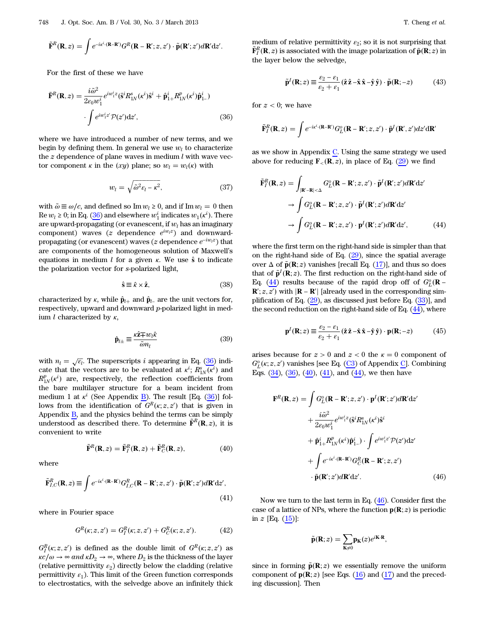$$
\tilde{\mathbf{F}}^R(\mathbf{R},z) = \int e^{-i\kappa^i\cdot(\mathbf{R}-\mathbf{R}')} G^R(\mathbf{R}-\mathbf{R}';z,z')\cdot \tilde{\mathbf{p}}(\mathbf{R}';z')d\mathbf{R}'\mathrm{d}z'.
$$

<span id="page-5-0"></span>For the first of these we have

$$
\bar{\mathbf{F}}^R(\mathbf{R}, z) = \frac{i\tilde{\omega}^2}{2\varepsilon_0 w_1^i} e^{iw_1^i z} (\hat{\mathbf{s}}^i R_{1N}^s(\kappa^i) \hat{\mathbf{s}}^i + \hat{\mathbf{p}}_{1+}^i R_{1N}^p(\kappa^i) \hat{\mathbf{p}}_{1-}^i)
$$

$$
\cdot \int e^{iw_1^i z'} \mathcal{P}(z') dz', \tag{36}
$$

<span id="page-5-6"></span>where we have introduced a number of new terms, and we begin by defining them. In general we use  $w_l$  to characterize the  $z$  dependence of plane waves in medium  $l$  with wave vector component  $\kappa$  in the  $(xy)$  plane; so  $w_l = w_l(\kappa)$  with

$$
w_l = \sqrt{\tilde{\omega}^2 \varepsilon_l - \kappa^2},\tag{37}
$$

with  $\tilde{\omega} \equiv \omega/c$ , and defined so Im  $w_l \ge 0$ , and if Im  $w_l = 0$  then Re  $w_l \geq 0$ ; in Eq. ([36\)](#page-5-0) and elsewhere  $w_1^i$  indicates  $w_1(\kappa^i)$ . There are upward-propagating (or evanescent, if  $w_l$  has an imaginary component) waves ( $z$  dependence  $e^{iw_1z}$ ) and downwardpropagating (or evanescent) waves (z dependence  $e^{-iw_1z}$ ) that are components of the homogeneous solution of Maxwell'<sup>s</sup> equations in medium  $l$  for a given  $\kappa$ . We use  $\hat{\mathbf{s}}$  to indicate the polarization vector for s-polarized light,

$$
\hat{\mathbf{s}} \equiv \hat{\kappa} \times \hat{\mathbf{z}},\tag{38}
$$

<span id="page-5-10"></span><span id="page-5-8"></span>characterized by κ, while  $\hat{\mathbf{p}}_{l+}$  and  $\hat{\mathbf{p}}_{l-}$  are the unit vectors for, respectively, upward and downward p-polarized light in medium l characterized by  $\kappa$ ,

$$
\hat{\mathbf{p}}_{l\pm} \equiv \frac{\kappa \hat{\mathbf{z}} \mp w_l \hat{\kappa}}{\tilde{\omega} m_l} \tag{39}
$$

with  $n_l = \sqrt{\epsilon_l}$ . The superscripts i appearing in Eq. [\(36](#page-5-0)) indicate that the vectors are to be evaluated at  $\kappa^i$ ;  $\overline{R_{1N}^s(\kappa^i)}$  and  $R_{1N}^{p}(\kappa^{i})$  are, respectively, the reflection coefficients from the bare multilayer structure for a beam incident from medium 1 at  $\kappa^i$  (See Appendix B). The result [Eq. [\(36](#page-5-0))] follows from the identification of  $G^R(\kappa; z, z')$  that is given in Appendix  $\overline{B}$ , and the physics behind the terms can be simply understood as described there. To determine  $\tilde{\mathbf{F}}^R(\mathbf{R},z)$ , it is convenient to write

$$
\tilde{\mathbf{F}}^R(\mathbf{R}, z) = \tilde{\mathbf{F}}_I^R(\mathbf{R}, z) + \tilde{\mathbf{F}}_C^R(\mathbf{R}, z), \tag{40}
$$

<span id="page-5-3"></span><span id="page-5-2"></span>where

$$
\tilde{\mathbf{F}}_{I,C}^{R}(\mathbf{R},z) \equiv \int e^{-i\kappa^{i} \cdot (\mathbf{R}-\mathbf{R}')} G_{I,C}^{R}(\mathbf{R}-\mathbf{R}';z,z') \cdot \tilde{\mathbf{p}}(\mathbf{R}';z') d\mathbf{R}' dz',
$$
\n(41)

<span id="page-5-11"></span>where in Fourier space

$$
G^{R}(\kappa; z, z') = G^{R}_{I}(\kappa; z, z') + G^{R}_{C}(\kappa; z, z').
$$
 (42)

 $G_I^R(\kappa; z, z')$  is defined as the double limit of  $G^R(\kappa; z, z')$  as  $\kappa c/\omega \to \infty$  and  $\kappa D_2 \to \infty$ , where  $D_2$  is the thickness of the layer (relative permittivity  $\varepsilon_2$ ) directly below the cladding (relative permittivity  $\varepsilon_1$ ). This limit of the Green function corresponds to electrostatics, with the selvedge above an infinitely thick

<span id="page-5-7"></span>medium of relative permittivity  $\varepsilon_2$ ; so it is not surprising that  $\tilde{\mathbf{F}}_I^R(\mathbf{R},z)$  is associated with the image polarization of  $\tilde{\mathbf{p}}(\mathbf{R};z)$  in the layer below the selvedge,

$$
\tilde{\mathbf{p}}^I(\mathbf{R};z) \equiv \frac{\varepsilon_2 - \varepsilon_1}{\varepsilon_2 + \varepsilon_1} (\hat{\mathbf{z}} \hat{\mathbf{z}} - \hat{\mathbf{x}} \hat{\mathbf{x}} - \hat{\mathbf{y}} \hat{\mathbf{y}}) \cdot \tilde{\mathbf{p}}(\mathbf{R}; -z)
$$
(43)

for  $z < 0$ ; we have

$$
\tilde{\mathbf{F}}_I^R(\mathbf{R},z) = \int e^{-i\kappa^i \cdot (\mathbf{R}-\mathbf{R}')} G_L^o(\mathbf{R}-\mathbf{R}';z,z') \cdot \tilde{\mathbf{p}}^I(\mathbf{R}',z') dz' d\mathbf{R}'
$$

<span id="page-5-1"></span>as we show in Appendix C. Using the same strategy we used above for reducing  $\mathbf{F}_{\leq}(\mathbf{R}, z)$ , in place of Eq. [\(29](#page-4-3)) we find

$$
\tilde{\mathbf{F}}_I^R(\mathbf{R}, z) = \int_{|\mathbf{R}' - \mathbf{R}| < \Delta} G_L^o(\mathbf{R} - \mathbf{R}'; z, z') \cdot \tilde{\mathbf{p}}^I(\mathbf{R}'; z') d\mathbf{R}' dz'
$$
\n
$$
\rightarrow \int G_L^o(\mathbf{R} - \mathbf{R}'; z, z') \cdot \tilde{\mathbf{p}}^I(\mathbf{R}'; z') d\mathbf{R}' dz'
$$
\n
$$
\rightarrow \int G_L^o(\mathbf{R} - \mathbf{R}'; z, z') \cdot \mathbf{p}^I(\mathbf{R}'; z') d\mathbf{R}' dz', \tag{44}
$$

where the first term on the right-hand side is simpler than that on the right-hand side of Eq. ([29\)](#page-4-3), since the spatial average over  $\Delta$  of  $\tilde{\mathbf{p}}(\mathbf{R}; z)$  vanishes [recall Eq. ([17\)](#page-3-6)], and thus so does that of  $\tilde{\mathbf{p}}^I(\mathbf{R}; z)$ . The first reduction on the right-hand side of Eq. [\(44](#page-5-1)) results because of the rapid drop off of  $G_L^o(\mathbf{R} - \mathbf{R})$  $\mathbf{R}'; z, \overline{z'}$  with  $|\mathbf{R} - \mathbf{R'}|$  [already used in the corresponding simplification of Eq.  $(29)$  $(29)$ , as discussed just before Eq.  $(33)$  $(33)$ ], and the second reduction on the right-hand side of Eq. ([44\)](#page-5-1), where

<span id="page-5-9"></span>
$$
\mathbf{p}^{I}(\mathbf{R};z) \equiv \frac{\varepsilon_{2} - \varepsilon_{1}}{\varepsilon_{2} + \varepsilon_{1}} (\hat{\mathbf{z}} \hat{\mathbf{z}} - \hat{\mathbf{x}} \hat{\mathbf{x}} - \hat{\mathbf{y}} \hat{\mathbf{y}}) \cdot \mathbf{p}(\mathbf{R}; -z)
$$
(45)

<span id="page-5-4"></span>arises because for  $z > 0$  and  $z < 0$  the  $\kappa = 0$  component of  $G_L^o(\kappa; z, z')$  vanishes [see Eq. ([C3](#page-19-0)) of Appendix C]. Combining Eqs. [\(34](#page-4-6)), ([36\)](#page-5-0), ([40\)](#page-5-2), [\(41](#page-5-3)), and [\(44](#page-5-1)), we then have

$$
\mathbf{F}^{R}(\mathbf{R}, z) = \int G_{L}^{o}(\mathbf{R} - \mathbf{R}'; z, z') \cdot \mathbf{p}^{I}(\mathbf{R}'; z') d\mathbf{R}' dz'+ \frac{i\tilde{\omega}^{2}}{2\varepsilon_{0}w_{1}^{i}} e^{iw_{1}^{i}z} (\hat{\mathbf{s}}^{i} R_{1N}^{s}(k^{i}) \hat{\mathbf{s}}^{i}+ \hat{\mathbf{p}}_{1+}^{i} R_{1N}^{p}(k^{i}) \hat{\mathbf{p}}_{1-}^{i}) \cdot \int e^{iw_{1}^{i}z'} \mathcal{P}(z') dz'+ \int e^{-ix^{i} \cdot (\mathbf{R} - \mathbf{R}')} G_{C}^{R}(\mathbf{R} - \mathbf{R}'; z, z')- \tilde{\mathbf{p}}(\mathbf{R}'; z') d\mathbf{R}' dz'. \qquad (46)
$$

Now we turn to the last term in Eq. ([46\)](#page-5-4). Consider first the case of a lattice of NPs, where the function  $p(R; z)$  is periodic in  $z$  [Eq.  $(15)$  $(15)$  $(15)$ ]:

$$
\tilde{\mathbf{p}}(\mathbf{R};z) = \sum_{\mathbf{K}\neq 0} \mathbf{p}_{\mathbf{K}}(z)e^{i\mathbf{K}\cdot\mathbf{R}},
$$

<span id="page-5-5"></span>since in forming  $\tilde{p}(\mathbf{R}; z)$  we essentially remove the uniform component of  $p(R; z)$  [see Eqs. ([16\)](#page-3-1) and [\(17](#page-3-6)) and the preceding discussion]. Then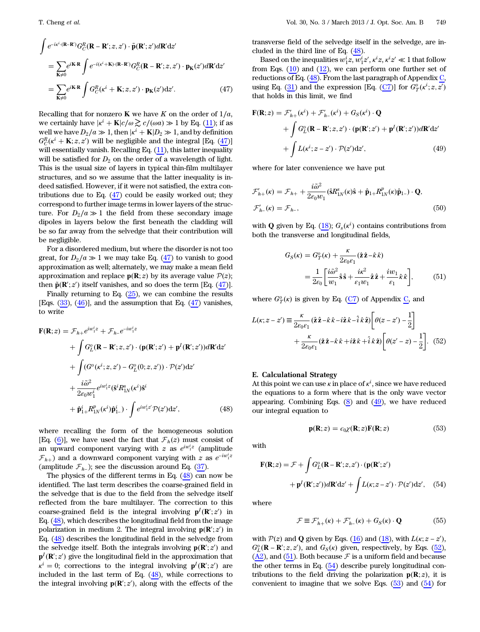$$
\int e^{-i\kappa^i \cdot (\mathbf{R} - \mathbf{R}')} G_C^R(\mathbf{R} - \mathbf{R}'; z, z') \cdot \tilde{\mathbf{p}}(\mathbf{R}'; z') d\mathbf{R}' dz'
$$
\n
$$
= \sum_{\mathbf{K} \neq 0} e^{i\mathbf{K} \cdot \mathbf{R}} \int e^{-i(\kappa^i + \mathbf{K}) \cdot (\mathbf{R} - \mathbf{R}')} G_C^R(\mathbf{R} - \mathbf{R}'; z, z') \cdot \mathbf{p}_{\mathbf{K}}(z') d\mathbf{R}' dz'
$$
\n
$$
= \sum_{\mathbf{K} \neq 0} e^{i\mathbf{K} \cdot \mathbf{R}} \int G_C^R(\kappa^i + \mathbf{K}; z, z') \cdot \mathbf{p}_{\mathbf{K}}(z') dz'. \tag{47}
$$

Recalling that for nonzero K we have K on the order of  $1/a$ , we certainly have  $|\kappa^i + \mathbf{K}|c/\omega \gtrsim c/(\omega a) \gg 1$  by Eq. [\(11\)](#page-2-4); if as well we have  $D_2/a \gg 1$ , then  $|\kappa^i + K|D_2 \gg 1$ , and by definition  $G_C^R(\kappa^i + \mathbf{K}; z, z')$  will be negligible and the integral [Eq. ([47\)](#page-5-5)] will essentially vanish. Recalling Eq.  $(11)$  $(11)$ , this latter inequality will be satisfied for  $D_2$  on the order of a wavelength of light. This is the usual size of layers in typical thin-film multilayer structures, and so we assume that the latter inequality is indeed satisfied. However, if it were not satisfied, the extra contributions due to Eq. ([47\)](#page-5-5) could be easily worked out; they correspond to further image terms in lower layers of the structure. For  $D_2/a \gg 1$  the field from these secondary image dipoles in layers below the first beneath the cladding will be so far away from the selvedge that their contribution will be negligible.

For a disordered medium, but where the disorder is not too great, for  $D_2/a \gg 1$  we may take Eq. [\(47](#page-5-5)) to vanish to good approximation as well; alternately, we may make a mean field approximation and replace  $p(R; z)$  by its average value  $P(z)$ ; then  $\tilde{\mathbf{p}}(\mathbf{R}'; z')$  itself vanishes, and so does the term [Eq.  $(47)$  $(47)$ ].

<span id="page-6-0"></span>Finally returning to Eq.  $(25)$  $(25)$ , we can combine the results [Eqs.  $(33)$  $(33)$ ,  $(46)$  $(46)$ ], and the assumption that Eq.  $(47)$  $(47)$  vanishes, to write

$$
\mathbf{F}(\mathbf{R};z) = \mathcal{F}_{h+}e^{iw_1^iz} + \mathcal{F}_{h-}e^{-iw_1^iz}
$$
  
+ 
$$
\int G_L^o(\mathbf{R} - \mathbf{R}';z,z') \cdot (\mathbf{p}(\mathbf{R}';z') + \mathbf{p}^I(\mathbf{R}';z'))d\mathbf{R}'dz'
$$
  
+ 
$$
\int (G^o(\kappa^i;z,z') - G_L^o(0;z,z')) \cdot \mathcal{P}(z')dz'
$$
  
+ 
$$
\frac{i\tilde{\omega}^2}{2\varepsilon_0 w_1^i}e^{iw_1^iz}(\hat{\mathbf{s}}^iR_{1N}^s(\kappa^i)\hat{\mathbf{s}}^i
$$
  
+ 
$$
\hat{\mathbf{p}}_{1+}^iR_{1N}^p(\kappa^i)\hat{\mathbf{p}}_{1-}^i) \cdot \int e^{iw_1^iz'}\mathcal{P}(z')dz', \qquad (48)
$$

where recalling the form of the homogeneous solution [Eq. ([6](#page-2-1))], we have used the fact that  $\mathcal{F}_h(z)$  must consist of an upward component varying with  $z$  as  $e^{iw_1^i z}$  (amplitude  $\mathcal{F}_{h+}$ ) and a downward component varying with z as  $e^{-iw_1^2}$ (amplitude  $\mathcal{F}_{h-}$ ); see the discussion around Eq. ([37\)](#page-5-6).

The physics of the different terms in Eq.  $(48)$  $(48)$  can now be identified. The last term describes the coarse-grained field in the selvedge that is due to the field from the selvedge itself reflected from the bare multilayer. The correction to this coarse-grained field is the integral involving  $\mathbf{p}^I(\mathbf{R}';z')$  in Eq. [\(48](#page-6-0)), which describes the longitudinal field from the image polarization in medium 2. The integral involving  $p(R'; z')$  in Eq. [\(48](#page-6-0)) describes the longitudinal field in the selvedge from the selvedge itself. Both the integrals involving  $p(\mathbf{R}'; z')$  and  $\mathbf{p}^I(\mathbf{R}';z')$  give the longitudinal field in the approximation that  $\kappa^i = 0$ ; corrections to the integral involving  $\mathbf{p}^I(\mathbf{R}'; z')$  are included in the last term of Eq. [\(48\)](#page-6-0), while corrections to the integral involving  $p(R'; z')$ , along with the effects of the

transverse field of the selvedge itself in the selvedge, are included in the third line of Eq. [\(48](#page-6-0)).

Based on the inequalities  $w_1^iz, w_1^iz', \kappa^iz, \kappa^iz' \ll 1$  that follow from Eqs.  $(10)$  $(10)$  and  $(12)$  $(12)$ , we can perform one further set of reductions of Eq. [\(48](#page-6-0)). From the last paragraph of Appendix C, using Eq. ([31\)](#page-4-4) and the expression [Eq. [\(C7\)](#page-20-0)] for  $G_T^o(\kappa^i; z, \overline{z'})$ that holds in this limit, we find

<span id="page-6-1"></span>
$$
\mathbf{F}(\mathbf{R};z) = \mathcal{F}'_{h+}(\kappa^{i}) + \mathcal{F}'_{h-}(\kappa^{i}) + G_{S}(\kappa^{i}) \cdot \mathbf{Q}
$$
  
+ 
$$
\int G_{L}^{o}(\mathbf{R} - \mathbf{R}';z,z') \cdot (\mathbf{p}(\mathbf{R}';z') + \mathbf{p}^{I}(\mathbf{R}';z'))d\mathbf{R}'dz'
$$
  
+ 
$$
\int L(\kappa^{i};z-z') \cdot \mathcal{P}(z')dz', \qquad (49)
$$

<span id="page-6-7"></span>where for later convenience we have put

$$
\mathcal{F}_{h+}^{\prime}(\kappa) = \mathcal{F}_{h+} + \frac{i\tilde{\omega}^2}{2\varepsilon_0 w_1} (\hat{\mathbf{s}} R_{1N}^{\mathbf{s}}(\kappa)\hat{\mathbf{s}} + \hat{\mathbf{p}}_{1+} R_{1N}^p(\kappa)\hat{\mathbf{p}}_{1-}) \cdot \mathbf{Q},
$$
  

$$
\mathcal{F}_{h-}^{\prime}(\kappa) = \mathcal{F}_{h-},
$$
 (50)

<span id="page-6-3"></span>with Q given by Eq.  $(18)$  $(18)$ ;  $G_s(\kappa^i)$  contains contributions from both the transverse and longitudinal fields,

$$
G_S(\kappa) = G_T^o(\kappa) + \frac{\kappa}{2\varepsilon_0 \varepsilon_1} (\hat{\mathbf{z}} \hat{\mathbf{z}} - \hat{\kappa}\hat{\kappa})
$$
  
= 
$$
\frac{1}{2\varepsilon_0} \left[ \frac{i\tilde{\omega}^2}{w_1} \hat{\mathbf{s}} \hat{\mathbf{s}} + \frac{i\kappa^2}{\varepsilon_1 w_1} \hat{\mathbf{z}} \hat{\mathbf{z}} + \frac{iw_1}{\varepsilon_1} \hat{\kappa} \hat{\kappa} \right],
$$
 (51)

<span id="page-6-2"></span>where  $G_T^o(\kappa)$  is given by Eq. ([C7](#page-20-0)) of Appendix C, and

$$
L(\kappa; z - z') \equiv \frac{\kappa}{2\varepsilon_0 \varepsilon_1} (\hat{\mathbf{z}} \hat{\mathbf{z}} - \hat{\kappa} \hat{\kappa} - i\hat{\mathbf{z}} \hat{\kappa} - \hat{i} \hat{\kappa} \hat{\mathbf{z}}) \left[ \theta(z - z') - \frac{1}{2} \right] + \frac{\kappa}{2\varepsilon_0 \varepsilon_1} (\hat{\mathbf{z}} \hat{\mathbf{z}} - \hat{\kappa} \hat{\kappa} + i\hat{\mathbf{z}} \hat{\kappa} + \hat{i} \hat{\kappa} \hat{\mathbf{z}}) \left[ \theta(z' - z) - \frac{1}{2} \right]. \tag{52}
$$

#### E. Calculational Strategy

<span id="page-6-5"></span>At this point we can use  $\kappa$  in place of  $\kappa^i$ , since we have reduced the equations to a form where that is the only wave vector appearing. Combining Eqs.  $(8)$  $(8)$  $(8)$  and  $(49)$  $(49)$ , we have reduced our integral equation to

$$
\mathbf{p}(\mathbf{R};z) = \epsilon_0 \chi(\mathbf{R};z) \mathbf{F}(\mathbf{R};z)
$$
 (53)

<span id="page-6-4"></span>with

$$
\mathbf{F}(\mathbf{R};z) = \mathcal{F} + \int G_L^o(\mathbf{R} - \mathbf{R}';z,z') \cdot (\mathbf{p}(\mathbf{R}';z')+ \mathbf{p}^I(\mathbf{R}';z'))d\mathbf{R}'dz' + \int L(\kappa;z-z') \cdot \mathcal{P}(z')dz', \quad (54)
$$

<span id="page-6-6"></span>where

$$
\mathcal{F} \equiv \mathcal{F}'_{h+}(\kappa) + \mathcal{F}'_{h-}(\kappa) + G_S(\kappa) \cdot \mathbf{Q}
$$
 (55)

with  $P(z)$  and Q given by Eqs. ([16\)](#page-3-1) and [\(18](#page-3-8)), with  $L(\kappa; z - z')$ ,  $G_L^o(\mathbf{R} - \mathbf{R}'; z, z')$ , and  $G_S(\kappa)$  given, respectively, by Eqs. [\(52](#page-6-2)),  $(A2)$ , and  $(51)$  $(51)$ . Both because  $\mathcal F$  is a uniform field and because the other terms in Eq. [\(54](#page-6-4)) describe purely longitudinal contributions to the field driving the polarization  $p(R; z)$ , it is convenient to imagine that we solve Eqs.  $(53)$  $(53)$  and  $(54)$  $(54)$  for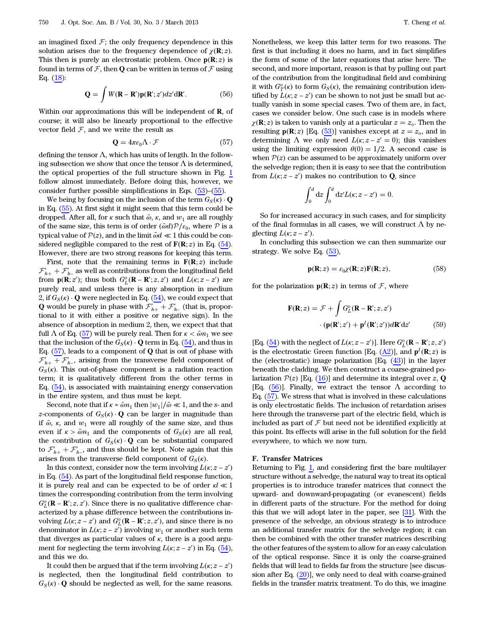<span id="page-7-1"></span>an imagined fixed  $\mathcal{F}$ ; the only frequency dependence in this solution arises due to the frequency dependence of  $\chi(\mathbf{R}; z)$ . This then is purely an electrostatic problem. Once  $\mathbf{p}(\mathbf{R};z)$  is found in terms of  $\mathcal F$ , then **Q** can be written in terms of  $\mathcal F$  using Eq. [\(18](#page-3-8)):

$$
\mathbf{Q} = \int W(\mathbf{R} - \mathbf{R}') \mathbf{p}(\mathbf{R}'; z') dz' d\mathbf{R}'. \tag{56}
$$

<span id="page-7-0"></span>Within our approximations this will be independent of R, of course; it will also be linearly proportional to the effective vector field  $F$ , and we write the result as

$$
\mathbf{Q} = 4\pi\varepsilon_0 \Lambda \cdot \mathcal{F} \tag{57}
$$

defining the tensor  $\Lambda$ , which has units of length. In the following subsection we show that once the tensor  $\Lambda$  is determined, the optical properties of the full structure shown in Fig. [1](#page-1-1) follow almost immediately. Before doing this, however, we consider further possible simplifications in Eqs. ([53\)](#page-6-5)–[\(55](#page-6-6)).

We being by focusing on the inclusion of the term  $G_S(\overline{\kappa}) \cdot \mathbf{Q}$ in Eq. ([55](#page-6-6)). At first sight it might seem that this term could be dropped. After all, for  $\kappa$  such that  $\tilde{\omega}$ ,  $\kappa$ , and  $w_1$  are all roughly of the same size, this term is of order  $(\tilde{\omega} d)\mathcal{P}/\varepsilon_0$ , where  $\mathcal P$  is a typical value of  $P(z)$ , and in the limit  $\tilde{\omega}d \ll 1$  this could be considered negligible compared to the rest of  $\mathbf{F}(\mathbf{R}; z)$  in Eq. [\(54](#page-6-4)). However, there are two strong reasons for keeping this term.

First, note that the remaining terms in  $F(R; z)$  include  $\mathcal{F}_{h+} + \mathcal{F}_{h-}$  as well as contributions from the longitudinal field from  $\mathbf{p}(\mathbf{R}; z')$ ; thus both  $G_L^o(\mathbf{R} - \mathbf{R}'; z, z')$  and  $L(\kappa; z - z')$  are purely real, and unless there is any absorption in medium 2, if  $G_S(\kappa) \cdot \mathbf{Q}$  were neglected in Eq. [\(54](#page-6-4)), we could expect that Q would be purely in phase with  $\mathcal{F}'_{h+} + \mathcal{F}'_{h-}$  (that is, proportional to it with either a positive or negative sign). In the absence of absorption in medium 2, then, we expect that that full  $\Lambda$  of Eq. ([57\)](#page-7-0) will be purely real. Then for  $\kappa < \tilde{\omega} n_1$  we see that the inclusion of the  $G_S(\kappa) \cdot \mathbf{Q}$  term in Eq. [\(54](#page-6-4)), and thus in Eq.  $(57)$  $(57)$ , leads to a component of Q that is out of phase with  $\mathcal{F}_{h+} + \mathcal{F}_{h-}$ , arising from the transverse field component of  $G_S(\kappa)$ . This out-of-phase component is a radiation reaction term; it is qualitatively different from the other terms in Eq. [\(54](#page-6-4)), is associated with maintaining energy conservation in the entire system, and thus must be kept.

Second, note that if  $\kappa \approx \tilde{\omega} n_1$  then  $|w_1|/\tilde{\omega} \ll 1$ , and the s- and z-components of  $G_S(\kappa) \cdot \mathbf{Q}$  can be larger in magnitude than if  $\tilde{\omega}$ ,  $\kappa$ , and  $w_1$  were all roughly of the same size, and thus even if  $\kappa > \tilde{\omega} n_1$  and the components of  $G_S(\kappa)$  are all real, the contribution of  $G_S(\kappa) \cdot \mathbf{Q}$  can be substantial compared to  $\mathcal{F}'_{h+} + \mathcal{F}'_{h-}$ , and thus should be kept. Note again that this arises from the transverse field component of  $G_S(\kappa)$ .

In this context, consider now the term involving  $L(\kappa; z - z')$ in Eq. [\(54](#page-6-4)). As part of the longitudinal field response function, it is purely real and can be expected to be of order  $\kappa l \ll 1$ times the corresponding contribution from the term involving  $G_L^o(\mathbf{R} - \mathbf{R}'; z, z')$ . Since there is no qualitative difference characterized by a phase difference between the contributions involving  $L(\kappa; z - z')$  and  $G_L^o(\mathbf{R} - \mathbf{R}'; z, z')$ , and since there is no denominator in  $L(\kappa; z - z')$  involving  $w_1$  or another such term that diverges as particular values of  $\kappa$ , there is a good argument for neglecting the term involving  $L(\kappa; z - z')$  in Eq. [\(54](#page-6-4)), and this we do.

It could then be argued that if the term involving  $L(\kappa; z - z')$ is neglected, then the longitudinal field contribution to  $G_S(\kappa) \cdot \mathbf{Q}$  should be neglected as well, for the same reasons.

Nonetheless, we keep this latter term for two reasons. The first is that including it does no harm, and in fact simplifies the form of some of the later equations that arise here. The second, and more important, reason is that by pulling out part of the contribution from the longitudinal field and combining it with  $G_T^o(\kappa)$  to form  $G_S(\kappa)$ , the remaining contribution identified by  $L(\kappa; z - z')$  can be shown to not just be small but actually vanish in some special cases. Two of them are, in fact, cases we consider below. One such case is in models where  $\chi(\mathbf{R}; z)$  is taken to vanish only at a particular  $z = z_o$ . Then the resulting  $p(R; z)$  [Eq. [\(53](#page-6-5))] vanishes except at  $z = z_o$ , and in determining  $\Lambda$  we only need  $L(\kappa; z - z' = 0)$ ; this vanishes using the limiting expression  $\theta(0) = 1/2$ . A second case is when  $P(z)$  can be assumed to be approximately uniform over the selvedge region; then it is easy to see that the contribution from  $L(\kappa; z - z')$  makes no contribution to **Q**, since

$$
\int_0^d dz \int_0^d dz' L(\kappa; z - z') = 0.
$$

So for increased accuracy in such cases, and for simplicity of the final formulas in all cases, we will construct  $\Lambda$  by neglecting  $L(\kappa; z - z')$ .

<span id="page-7-2"></span>In concluding this subsection we can then summarize our strategy. We solve Eq. [\(53](#page-6-5)),

$$
\mathbf{p}(\mathbf{R};z) = \varepsilon_0 \chi(\mathbf{R};z) \mathbf{F}(\mathbf{R};z),\tag{58}
$$

<span id="page-7-3"></span>for the polarization  $p(R; z)$  in terms of  $\mathcal{F}$ , where

$$
\mathbf{F}(\mathbf{R};z) = \mathcal{F} + \int G_L^o(\mathbf{R} - \mathbf{R}';z,z')
$$

$$
\cdot (\mathbf{p}(\mathbf{R}';z') + \mathbf{p}^I(\mathbf{R}';z'))d\mathbf{R}'dz'
$$
(59)

[Eq. [\(54](#page-6-4)) with the neglect of  $L(\kappa; z - z')$ ]. Here  $G_L^o(\mathbf{R} - \mathbf{R}'; z, z')$ is the electrostatic Green function [Eq.  $(\underline{A2})$ ], and  $p^I(R; z)$  is the (electrostatic) image polarization  $[Eq. (43)]$  $[Eq. (43)]$  $[Eq. (43)]$  in the layer beneath the cladding. We then construct a coarse-grained polarization  $P(z)$  [Eq. ([16\)](#page-3-1)] and determine its integral over z, Q [Eq. [\(56](#page-7-1))]. Finally, we extract the tensor  $\Lambda$  according to Eq. ([57\)](#page-7-0). We stress that what is involved in these calculations is only electrostatic fields. The inclusion of retardation arises here through the transverse part of the electric field, which is included as part of  $\mathcal F$  but need not be identified explicitly at this point. Its effects will arise in the full solution for the field everywhere, to which we now turn.

#### F. Transfer Matrices

Returning to Fig.  $1$ , and considering first the bare multilayer structure without a selvedge, the natural way to treat its optical properties is to introduce transfer matrices that connect the upward- and downward-propagating (or evanescent) fields in different parts of the structure. For the method for doing this that we will adopt later in the paper, see [[31\]](#page-22-23). With the presence of the selvedge, an obvious strategy is to introduce an additional transfer matrix for the selvedge region; it can then be combined with the other transfer matrices describing the other features of the system to allow for an easy calculation of the optical response. Since it is only the coarse-grained fields that will lead to fields far from the structure [see discussion after Eq.  $(20)$  $(20)$ ], we only need to deal with coarse-grained fields in the transfer matrix treatment. To do this, we imagine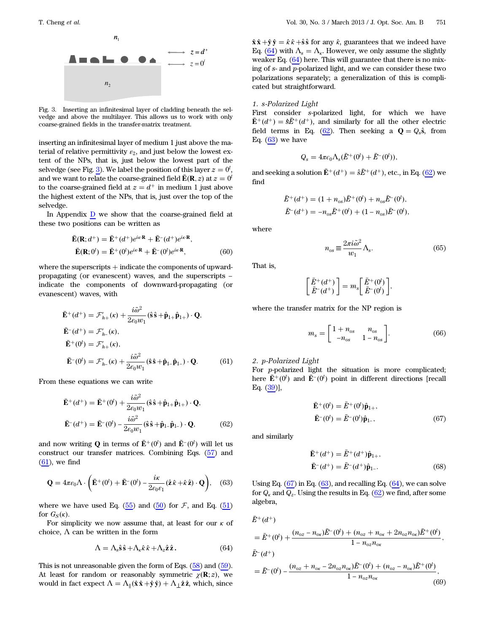<span id="page-8-0"></span>

 $n_{1}$ 

Fig. 3. Inserting an infinitesimal layer of cladding beneath the selvedge and above the multilayer. This allows us to work with only coarse-grained fields in the transfer-matrix treatment.

inserting an infinitesimal layer of medium 1 just above the material of relative permittivity  $\varepsilon_2$ , and just below the lowest extent of the NPs, that is, just below the lowest part of the selvedge (see Fig. [3](#page-8-0)). We label the position of this layer  $z = 0^l$ , and we want to relate the coarse-grained field  $\bar{\mathbf{E}}(\mathbf{R}, z)$  at  $z = 0$ <sup>l</sup> to the coarse-grained field at  $z = d^+$  in medium 1 just above the highest extent of the NPs, that is, just over the top of the selvedge.

<span id="page-8-9"></span>In Appendix D we show that the coarse-grained field at these two positions can be written as

$$
\begin{aligned} \n\bar{\mathbf{E}}(\mathbf{R}; d^+) &= \bar{\mathbf{E}}^+(d^+)e^{i\kappa \cdot \mathbf{R}} + \bar{\mathbf{E}}^-(d^+)e^{i\kappa \cdot \mathbf{R}}, \\ \n\bar{\mathbf{E}}(\mathbf{R}; 0^l) &= \bar{\mathbf{E}}^+(0^l)e^{i\kappa \cdot \mathbf{R}} + \bar{\mathbf{E}}^-(0^l)e^{i\kappa \cdot \mathbf{R}}, \n\end{aligned} \tag{60}
$$

<span id="page-8-1"></span>where the superscripts  $+$  indicate the components of upwardpropagating (or evanescent) waves, and the superscripts − indicate the components of downward-propagating (or evanescent) waves, with

$$
\tilde{\mathbf{E}}^{+}(d^{+}) = \mathcal{F}_{h+}(\kappa) + \frac{i\tilde{\omega}^{2}}{2\varepsilon_{0}w_{1}} (\hat{\mathbf{s}}\hat{\mathbf{s}} + \hat{\mathbf{p}}_{1+}\hat{\mathbf{p}}_{1+}) \cdot \mathbf{Q},
$$
\n
$$
\tilde{\mathbf{E}}^{-}(d^{+}) = \mathcal{F}_{h-}(\kappa),
$$
\n
$$
\tilde{\mathbf{E}}^{+}(0^{l}) = \mathcal{F}_{h+}(\kappa),
$$
\n
$$
\tilde{\mathbf{E}}^{-}(0^{l}) = \mathcal{F}_{h-}(\kappa) + \frac{i\tilde{\omega}^{2}}{2\varepsilon_{0}w_{1}} (\hat{\mathbf{s}}\hat{\mathbf{s}} + \hat{\mathbf{p}}_{1-}\hat{\mathbf{p}}_{1-}) \cdot \mathbf{Q}.
$$
\n(61)

<span id="page-8-3"></span>From these equations we can write

$$
\begin{aligned} \n\mathbf{\bar{E}}^{+}(d^{+}) &= \mathbf{\bar{E}}^{+}(0^{l}) + \frac{i\tilde{\omega}^{2}}{2\epsilon_{0}w_{1}} (\hat{\mathbf{s}}\,\hat{\mathbf{s}} + \hat{\mathbf{p}}_{1+}\hat{\mathbf{p}}_{1+}) \cdot \mathbf{Q}, \\ \n\mathbf{\bar{E}}^{-}(d^{+}) &= \mathbf{\bar{E}}^{-}(0^{l}) - \frac{i\tilde{\omega}^{2}}{2\epsilon_{0}w_{1}} (\hat{\mathbf{s}}\,\hat{\mathbf{s}} + \hat{\mathbf{p}}_{1-}\hat{\mathbf{p}}_{1-}) \cdot \mathbf{Q}, \n\end{aligned} \tag{62}
$$

<span id="page-8-4"></span>and now writing Q in terms of  $\bar{\mathbf{E}}^+(0^l)$  and  $\bar{\mathbf{E}}^-(0^l)$  will let us construct our transfer matrices. Combining Eqs. [\(57](#page-7-0)) and  $(61)$  $(61)$  $(61)$ , we find

$$
\mathbf{Q} = 4\pi\varepsilon_0 \Lambda \cdot \left( \mathbf{\bar{E}}^+ (0^l) + \mathbf{\bar{E}}^- (0^l) - \frac{i\kappa}{2\varepsilon_0\varepsilon_1} (\hat{\mathbf{z}}\hat{\mathbf{\kappa}} + \hat{\mathbf{\kappa}}\hat{\mathbf{z}}) \cdot \mathbf{Q} \right), \quad (63)
$$

where we have used Eq.  $(55)$  $(55)$  and  $(50)$  $(50)$  for  $\mathcal{F}$ , and Eq.  $(51)$  $(51)$ for  $G_S(\kappa)$ .

<span id="page-8-2"></span>For simplicity we now assume that, at least for our  $\kappa$  of choice,  $\Lambda$  can be written in the form

$$
\Lambda = \Lambda_s \hat{\mathbf{s}} \hat{\mathbf{s}} + \Lambda_\kappa \hat{\kappa} \hat{\kappa} + \Lambda_z \hat{\mathbf{z}} \hat{\mathbf{z}}.
$$
 (64)

This is not unreasonable given the form of Eqs. [\(58](#page-7-2)) and [\(59](#page-7-3)). At least for random or reasonably symmetric  $\chi(\mathbf{R}; z)$ , we would in fact expect  $\Lambda = \Lambda_{\parallel}(\hat{\mathbf{x}}\,\hat{\mathbf{x}} + \hat{\mathbf{y}}\,\hat{\mathbf{y}}) + \Lambda_{\perp}\hat{\mathbf{z}}\,\hat{\mathbf{z}}$ , which, since  $\hat{\mathbf{x}} \cdot \hat{\mathbf{x}} + \hat{\mathbf{y}} \cdot \hat{\mathbf{y}} = \hat{\mathbf{x}} \cdot \hat{\mathbf{x}} + \hat{\mathbf{s}} \cdot \hat{\mathbf{s}}$  for any  $\hat{\mathbf{x}}$ , guarantees that we indeed have Eq. ([64\)](#page-8-2) with  $\Lambda_s = \Lambda_{\kappa}$ . However, we only assume the slightly weaker Eq. [\(64](#page-8-2)) here. This will guarantee that there is no mixing of s- and p-polarized light, and we can consider these two polarizations separately; a generalization of this is complicated but straightforward.

#### 1. s-Polarized Light

First consider s-polarized light, for which we have  $\bar{\mathbf{E}}^+(d^+) = \hat{\mathbf{E}}^+(d^+),$  and similarly for all the other electric field terms in Eq. [\(62](#page-8-3)). Then seeking a  $\mathbf{Q} = Q_s\hat{\mathbf{s}}$ , from Eq.  $(63)$  $(63)$  we have

$$
Q_s = 4\pi\epsilon_0 \Lambda_s(\bar{E}^+(0^l) + \bar{E}^-(0^l)),
$$

and seeking a solution  $\bar{\mathbf{E}}^+(d^+) = \hat{s} \bar{E}^+(d^+),$  etc., in Eq. [\(62](#page-8-3)) we find

$$
\bar{E}^+(d^+) = (1 + n_{os})\bar{E}^+(0') + n_{os}\bar{E}^-(0'),
$$
  

$$
\bar{E}^-(d^+) = -n_{os}\bar{E}^+(0') + (1 - n_{os})\bar{E}^-(0'),
$$

<span id="page-8-8"></span>where

$$
n_{os} \equiv \frac{2\pi i \tilde{\omega}^2}{w_1} \Lambda_s. \tag{65}
$$

That is,

$$
\begin{bmatrix} \bar{E}^+(d^+) \\ \bar{E}^-(d^+) \end{bmatrix} = m_s \begin{bmatrix} \bar{E}^+(0^l) \\ \bar{E}^-(0^l) \end{bmatrix},
$$

<span id="page-8-7"></span>where the transfer matrix for the NP region is

$$
m_s = \begin{bmatrix} 1 + n_{os} & n_{os} \\ -n_{os} & 1 - n_{os} \end{bmatrix} . \tag{66}
$$

2. p-Polarized Light

<span id="page-8-5"></span>For p-polarized light the situation is more complicated; here  $\mathbf{\bar{E}}^+(0^l)$  and  $\mathbf{\bar{E}}^-(0^l)$  point in different directions [recall Eq. [\(39](#page-5-8))],

$$
\begin{aligned} \n\mathbf{\bar{E}}^{+}(0^{l}) &= \mathbf{\bar{E}}^{+}(0^{l})\hat{\mathbf{p}}_{1+}, \\ \n\mathbf{\bar{E}}^{-}(0^{l}) &= \mathbf{\bar{E}}^{-}(0^{l})\hat{\mathbf{p}}_{1-}, \n\end{aligned} \tag{67}
$$

and similarly

$$
\begin{aligned} \n\bar{\mathbf{E}}^{+}(d^{+}) &= \bar{E}^{+}(d^{+})\hat{\mathbf{p}}_{1+}, \\ \n\bar{\mathbf{E}}^{-}(d^{+}) &= \bar{E}^{-}(d^{+})\hat{\mathbf{p}}_{1-}. \n\end{aligned} \tag{68}
$$

(69)

<span id="page-8-6"></span>Using Eq.  $(67)$  $(67)$  in Eq.  $(63)$  $(63)$ , and recalling Eq.  $(64)$  $(64)$ , we can solve for  $Q_{\kappa}$  and  $Q_{z}$ . Using the results in Eq. [\(62](#page-8-3)) we find, after some algebra,

$$
\begin{split} \bar{E}^{+}(d^{+}) &= \bar{E}^{+}(0^{l}) + \frac{(n_{oz} - n_{ox})\bar{E}^{-}(0^{l}) + (n_{oz} + n_{ox} + 2n_{oz}n_{ox})\bar{E}^{+}(0^{l})}{1 - n_{oz}n_{ox}}, \\ \bar{E}^{-}(d^{+}) &= \bar{E}^{-}(0^{l}) - \frac{(n_{oz} + n_{ox} - 2n_{oz}n_{ox})\bar{E}^{-}(0^{l}) + (n_{oz} - n_{ox})\bar{E}^{+}(0^{l})}{1 - n_{oz}n_{ox}}, \end{split}
$$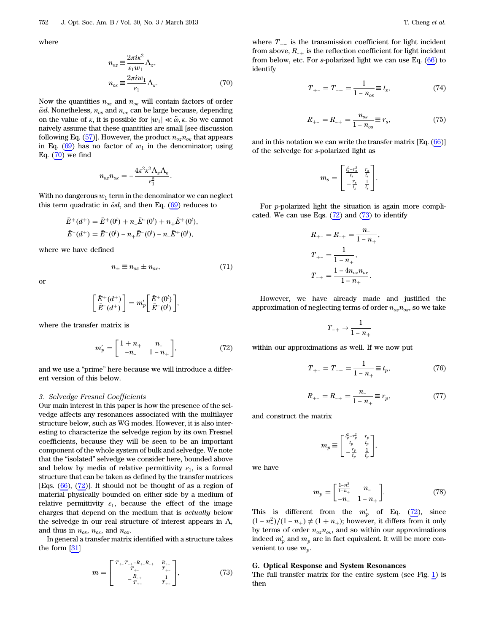<span id="page-9-0"></span>where

$$
n_{oz} \equiv \frac{2\pi i \kappa^2}{\varepsilon_1 w_1} \Lambda_z,
$$
  

$$
n_{ox} \equiv \frac{2\pi i w_1}{\varepsilon_1} \Lambda_\kappa.
$$
 (70)

Now the quantities  $n_{oz}$  and  $n_{ox}$  will contain factors of order  $\tilde{\omega}$ d. Nonetheless,  $n_{os}$  and  $n_{ok}$  can be large because, depending on the value of  $\kappa$ , it is possible for  $|w_1| \ll \tilde{\omega}, \kappa$ . So we cannot naively assume that these quantities are small [see discussion following Eq. [\(57](#page-7-0))]. However, the product  $n_{oz}n_{ox}$  that appears in Eq.  $(69)$  $(69)$  has no factor of  $w_1$  in the denominator; using Eq.  $(70)$  $(70)$  we find

$$
n_{oz}n_{ox}=-\frac{4\pi^2\kappa^2\Lambda_z\Lambda_{\kappa}}{\varepsilon_1^2}.
$$

With no dangerous  $w_1$  term in the denominator we can neglect this term quadratic in  $\tilde{\omega}d$ , and then Eq. [\(69](#page-8-6)) reduces to

$$
\begin{aligned} \bar{E}^+(d^+) &= \bar{E}^+(0^l) + n_- \bar{E}^-(0^l) + n_+ \bar{E}^+(0^l), \\ \bar{E}^-(d^+) &= \bar{E}^-(0^l) - n_+ \bar{E}^-(0^l) - n_- \bar{E}^+(0^l), \end{aligned}
$$

<span id="page-9-7"></span>where we have defined

$$
n_{\pm} \equiv n_{oz} \pm n_{ox},\tag{71}
$$

or

$$
\begin{bmatrix} \bar{E}^+(d^+) \\ \bar{E}^-(d^+) \end{bmatrix} = m_p' \begin{bmatrix} \bar{E}^+(0^l) \\ \bar{E}^-(0^l) \end{bmatrix},
$$

<span id="page-9-1"></span>where the transfer matrix is

$$
m'_{p} = \begin{bmatrix} 1+n_{+} & n_{-} \\ -n_{-} & 1-n_{+} \end{bmatrix}, \tag{72}
$$

and we use a "prime" here because we will introduce a different version of this below.

#### 3. Selvedge Fresnel Coefficients

Our main interest in this paper is how the presence of the selvedge affects any resonances associated with the multilayer structure below, such as WG modes. However, it is also interesting to characterize the selvedge region by its own Fresnel coefficients, because they will be seen to be an important component of the whole system of bulk and selvedge. We note that the "isolated" selvedge we consider here, bounded above and below by media of relative permittivity  $\varepsilon_1$ , is a formal structure that can be taken as defined by the transfer matrices [Eqs.  $(66)$  $(66)$ ,  $(72)$  $(72)$ ]. It should not be thought of as a region of material physically bounded on either side by a medium of relative permittivity  $\varepsilon_1$ , because the effect of the image charges that depend on the medium that is actually below the selvedge in our real structure of interest appears in  $\Lambda$ , and thus in  $n_{os}$ ,  $n_{ox}$ , and  $n_{oz}$ .

<span id="page-9-2"></span>In general a transfer matrix identified with a structure takes the form [\[31](#page-22-23)]

$$
m = \begin{bmatrix} \frac{T_{+-}T_{-+}-R_{+-}R_{-+}}{T_{+-}} & \frac{R_{+-}}{T_{+-}}\\ -\frac{R_{-+}}{T_{+-}} & \frac{1}{T_{+-}} \end{bmatrix},
$$
(73)

<span id="page-9-4"></span>where  $T_{+-}$  is the transmission coefficient for light incident from above,  $R_{-+}$  is the reflection coefficient for light incident from below, etc. For s-polarized light we can use Eq. ([66\)](#page-8-7) to identify

$$
T_{+-} = T_{-+} = \frac{1}{1 - n_{os}} \equiv t_s,
$$
\n(74)

$$
R_{+-} = R_{-+} = \frac{n_{os}}{1 - n_{os}} \equiv r_s,
$$
 (75)

;

<span id="page-9-6"></span>and in this notation we can write the transfer matrix [Eq. ([66\)](#page-8-7)] of the selvedge for s-polarized light as

$$
m_s = \begin{bmatrix} \frac{t_s^2 - r_s^2}{t_s} & \frac{r_s}{t_s} \\ -\frac{r_s}{t_s} & \frac{1}{t_s} \end{bmatrix}.
$$

For p-polarized light the situation is again more complicated. We can use Eqs.  $(72)$  $(72)$  and  $(73)$  $(73)$  $(73)$  to identify

$$
R_{+-} = R_{-+} = \frac{n_-}{1 - n_+}
$$
  
\n
$$
T_{+-} = \frac{1}{1 - n_+},
$$
  
\n
$$
T_{-+} = \frac{1 - 4n_{oz}n_{oz}}{1 - n_+}.
$$

However, we have already made and justified the approximation of neglecting terms of order  $n_{oz}n_{ox}$ , so we take

$$
T_{-+} \rightarrow \frac{1}{1-n_+}
$$

<span id="page-9-5"></span>within our approximations as well. If we now put

$$
T_{+-} = T_{-+} = \frac{1}{1 - n_+} \equiv t_p, \tag{76}
$$

$$
R_{+-} = R_{-+} = \frac{n_{-}}{1 - n_{+}} \equiv r_{p},\tag{77}
$$

and construct the matrix

$$
m_p \equiv \begin{bmatrix} \frac{t_p^2 - r_p^2}{t_p} & \frac{r_p}{t_p} \\ -\frac{r_p}{t_p} & \frac{1}{t_p} \end{bmatrix},
$$

we have

$$
m_p = \begin{bmatrix} \frac{1-n_-^2}{1-n_+} & n_- \\ -n_- & 1-n_+ \end{bmatrix}.
$$
 (78)

This is different from the  $m'_p$  of Eq. ([72\)](#page-9-1), since  $(1 - n_{-}^{2})/(1 - n_{+}) \neq (1 + n_{+})$ ; however, it differs from it only by terms of order  $n_{oz}n_{ox}$ , and so within our approximations indeed  $m'_p$  and  $m_p$  are in fact equivalent. It will be more convenient to use  $m_p$ .

#### G. Optical Response and System Resonances

<span id="page-9-3"></span>The full transfer matrix for the entire system (see Fig. [1\)](#page-1-1) is then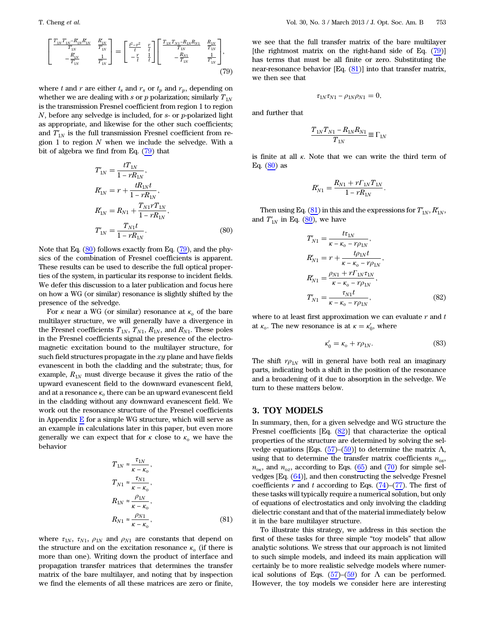$$
\begin{bmatrix}\n\frac{T_{1N}T_{1N}-R_{1N}R_{1N}}{T_{1N}} & \frac{R_{1N}}{T_{1N}} \\
-\frac{R_{1N}}{T_{1N}} & \frac{1}{T_{1N}}\n\end{bmatrix} = \begin{bmatrix}\n\frac{t^2-r^2}{t} & \frac{r}{t} \\
-\frac{r}{t} & \frac{1}{t}\n\end{bmatrix} \begin{bmatrix}\n\frac{T_{1N}T_{N1}-R_{1N}R_{N1}}{T_{1N}} & \frac{R_{1N}}{T_{1N}} \\
-\frac{R_{N1}}{T_{1N}} & \frac{1}{T_{1N}}\n\end{bmatrix},
$$
\n(79)

where t and r are either  $t_s$  and  $r_s$  or  $t_p$  and  $r_p$ , depending on whether we are dealing with s or  $p$  polarization; similarly  $T_{1N}$ is the transmission Fresnel coefficient from region 1 to region  $N$ , before any selvedge is included, for  $s$ - or  $p$ -polarized light as appropriate, and likewise for the other such coefficients; and  $T'_{1N}$  is the full transmission Fresnel coefficient from region 1 to region  $N$  when we include the selvedge. With a bit of algebra we find from Eq. ([79\)](#page-9-3) that

<span id="page-10-1"></span>
$$
T'_{1N} = \frac{tT_{1N}}{1 - rR_{1N}},
$$
  
\n
$$
R'_{1N} = r + \frac{tR_{1N}t}{1 - rR_{1N}},
$$
  
\n
$$
R'_{1N} = R_{N1} + \frac{T_{N1}rT_{1N}}{1 - rR_{1N}},
$$
  
\n
$$
T'_{1N} = \frac{T_{N1}t}{1 - rR_{1N}}.
$$
\n(80)

Note that Eq. ([80\)](#page-10-1) follows exactly from Eq. [\(79](#page-9-3)), and the physics of the combination of Fresnel coefficients is apparent. These results can be used to describe the full optical properties of the system, in particular its response to incident fields. We defer this discussion to a later publication and focus here on how a WG (or similar) resonance is slightly shifted by the presence of the selvedge.

For  $\kappa$  near a WG (or similar) resonance at  $\kappa_o$  of the bare multilayer structure, we will generally have a divergence in the Fresnel coefficients  $T_{1N}$ ,  $T_{N1}$ ,  $R_{1N}$ , and  $R_{N1}$ . These poles in the Fresnel coefficients signal the presence of the electromagnetic excitation bound to the multilayer structure, for such field structures propagate in the  $xy$  plane and have fields evanescent in both the cladding and the substrate; thus, for example,  $R_{1N}$  must diverge because it gives the ratio of the upward evanescent field to the downward evanescent field, and at a resonance  $\kappa_o$  there can be an upward evanescent field in the cladding without any downward evanescent field. We work out the resonance structure of the Fresnel coefficients in Appendix  $E$  for a simple WG structure, which will serve as an example in calculations later in this paper, but even more generally we can expect that for  $\kappa$  close to  $\kappa_o$  we have the behavior

<span id="page-10-2"></span>
$$
T_{1N} \approx \frac{\tau_{1N}}{\kappa - \kappa_o},
$$
  
\n
$$
T_{N1} \approx \frac{\tau_{N1}}{\kappa - \kappa_o},
$$
  
\n
$$
R_{1N} \approx \frac{\rho_{1N}}{\kappa - \kappa_o},
$$
  
\n
$$
R_{N1} \approx \frac{\rho_{N1}}{\kappa - \kappa_o},
$$
 (81)

where  $\tau_{1N}$ ,  $\tau_{N1}$ ,  $\rho_{1N}$  and  $\rho_{N1}$  are constants that depend on the structure and on the excitation resonance  $\kappa_0$  (if there is more than one). Writing down the product of interface and propagation transfer matrices that determines the transfer matrix of the bare multilayer, and noting that by inspection we find the elements of all these matrices are zero or finite,

we see that the full transfer matrix of the bare multilayer [the rightmost matrix on the right-hand side of Eq.  $(79)$  $(79)$ ] has terms that must be all finite or zero. Substituting the near-resonance behavior [Eq.  $(81)$  $(81)$ ] into that transfer matrix, we then see that

$$
\tau_{1N}\tau_{N1}-\rho_{1N}\rho_{N1}=0,
$$

and further that

$$
\frac{T_{1N}T_{N1} - R_{1N}R_{N1}}{T_{1N}} \equiv \Gamma_{1N}
$$

is finite at all  $\kappa$ . Note that we can write the third term of Eq.  $(80)$  $(80)$  as

$$
R'_{N1} = \frac{R_{N1} + r\Gamma_{1N}T_{1N}}{1 - rR_{1N}}.
$$

<span id="page-10-3"></span>Then using Eq. [\(81](#page-10-2)) in this and the expressions for  $T'_{1N}$ ,  $R'_{1N}$ , and  $T_{1N}'$  in Eq. ([80\)](#page-10-1), we have

$$
T'_{N1} = \frac{t\tau_{1N}}{\kappa - \kappa_o - r\rho_{1N}},
$$
  
\n
$$
R'_{N1} = r + \frac{t\rho_{1N}t}{\kappa - \kappa_o - r\rho_{1N}},
$$
  
\n
$$
R'_{N1} = \frac{\rho_{N1} + r\Gamma_{1N}\tau_{1N}}{\kappa - \kappa_o - r\rho_{1N}},
$$
  
\n
$$
T'_{N1} = \frac{\tau_{N1}t}{\kappa - \kappa_o - r\rho_{1N}},
$$
\n(82)

<span id="page-10-4"></span>where to at least first approximation we can evaluate  $r$  and  $t$ at  $\kappa_o$ . The new resonance is at  $\kappa = \kappa_o'$ , where

$$
\kappa'_0 = \kappa_o + r\rho_{1N}.\tag{83}
$$

The shift  $r\rho_{1N}$  will in general have both real an imaginary parts, indicating both a shift in the position of the resonance and a broadening of it due to absorption in the selvedge. We turn to these matters below.

## <span id="page-10-0"></span>3. TOY MODELS

In summary, then, for a given selvedge and WG structure the Fresnel coefficients [Eq. ([82\)](#page-10-3)] that characterize the optical properties of the structure are determined by solving the selvedge equations [Eqs.  $(57)$  $(57)$ – $(59)$  $(59)$ ] to determine the matrix  $\Lambda$ , using that to determine the transfer matrix coefficients  $n_{os}$ ,  $n_{\text{o}x}$ , and  $n_{\text{o}z}$ , according to Eqs. [\(65](#page-8-8)) and [\(70](#page-9-0)) for simple selvedges [Eq. [\(64](#page-8-2))], and then constructing the selvedge Fresnel coefficients r and t according to Eqs.  $(74)$  $(74)$ – $(77)$  $(77)$ . The first of these tasks will typically require a numerical solution, but only of equations of electrostatics and only involving the cladding dielectric constant and that of the material immediately below it in the bare multilayer structure.

To illustrate this strategy, we address in this section the first of these tasks for three simple "toy models" that allow analytic solutions. We stress that our approach is not limited to such simple models, and indeed its main application will certainly be to more realistic selvedge models where numer-ical solutions of Eqs. [\(57](#page-7-0))–([59\)](#page-7-3) for  $\Lambda$  can be performed. However, the toy models we consider here are interesting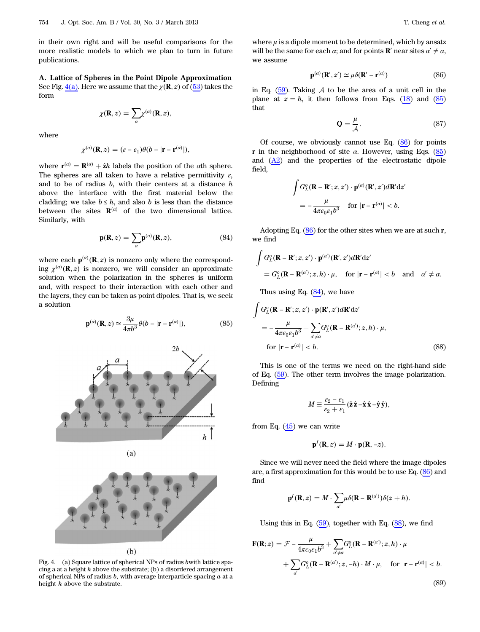in their own right and will be useful comparisons for the more realistic models to which we plan to turn in future publications.

A. Lattice of Spheres in the Point Dipole Approximation See Fig. <u>[4\(a\)](#page-11-0)</u>. Here we assume that the  $\chi(\mathbf{R}, z)$  of  $(53)$  $(53)$  takes the form

$$
\chi(\mathbf{R},z)=\sum_{\alpha}\chi^{(\alpha)}(\mathbf{R},z),
$$

where

$$
\chi^{(\alpha)}(\mathbf{R},z)=(\varepsilon-\varepsilon_1)\theta(b-|\mathbf{r}-\mathbf{r}^{(\alpha)}|),
$$

<span id="page-11-3"></span>where  $\mathbf{r}^{(\alpha)} = \mathbf{R}^{(\alpha)} + \hat{\mathbf{z}}h$  labels the position of the  $\alpha$ th sphere. The spheres are all taken to have a relative permittivity  $\varepsilon$ , and to be of radius  $b$ , with their centers at a distance  $h$ above the interface with the first material below the cladding; we take  $b \leq h$ , and also b is less than the distance between the sites  $\mathbf{R}^{(\alpha)}$  of the two dimensional lattice. Similarly, with

$$
\mathbf{p}(\mathbf{R}, z) = \sum_{\alpha} \mathbf{p}^{(\alpha)}(\mathbf{R}, z), \tag{84}
$$

<span id="page-11-1"></span>where each  $p^{(\alpha)}(R, z)$  is nonzero only where the corresponding  $\chi^{(\alpha)}({\bf R},z)$  is nonzero, we will consider an approximate solution when the polarization in the spheres is uniform and, with respect to their interaction with each other and the layers, they can be taken as point dipoles. That is, we seek a solution

$$
\mathbf{p}^{(a)}(\mathbf{R}, z) \simeq \frac{3\mu}{4\pi b^3} \theta(b - |\mathbf{r} - \mathbf{r}^{(a)}|), \tag{85}
$$

<span id="page-11-0"></span>



 $(a)$ 

Fig. 4. (a) Square lattice of spherical NPs of radius bwith lattice spacing a at a height  $h$  above the substrate; (b) a disordered arrangement of spherical NPs of radius  $b$ , with average interparticle spacing  $a$  at a height h above the substrate.

<span id="page-11-2"></span>where  $\mu$  is a dipole moment to be determined, which by ansatz will be the same for each  $\alpha$ ; and for points **R**' near sites  $\alpha' \neq \alpha$ , we assume

$$
\mathbf{p}^{(\alpha)}(\mathbf{R}', z') \simeq \mu \delta(\mathbf{R}' - \mathbf{r}^{(\alpha)})
$$
 (86)

in Eq.  $(59)$  $(59)$ . Taking A to be the area of a unit cell in the plane at  $z = h$ , it then follows from Eqs. [\(18](#page-3-8)) and ([85\)](#page-11-1) that

$$
\mathbf{Q} = \frac{\mu}{\mathcal{A}}.\tag{87}
$$

Of course, we obviously cannot use Eq.  $(86)$  $(86)$  for points r in the neighborhood of site  $\alpha$ . However, using Eqs. ([85\)](#page-11-1) and ([A2](#page-18-2)) and the properties of the electrostatic dipole field,

$$
\int G_L^o(\mathbf{R} - \mathbf{R}'; z, z') \cdot \mathbf{p}^{(\alpha)}(\mathbf{R}', z')d\mathbf{R}' dz'
$$
  
=  $-\frac{\mu}{4\pi\varepsilon_0\varepsilon_1b^3}$  for  $|\mathbf{r} - \mathbf{r}^{(\alpha)}| < b$ .

Adopting Eq.  $(86)$  $(86)$  for the other sites when we are at such r, we find

$$
\int G_L^o(\mathbf{R} - \mathbf{R}'; z, z') \cdot \mathbf{p}^{(a')}(\mathbf{R}', z') d\mathbf{R}' dz'
$$
  
=  $G_L^o(\mathbf{R} - \mathbf{R}^{(a')}; z, h) \cdot \mu$ , for  $|\mathbf{r} - \mathbf{r}^{(a)}| < b$  and  $\alpha' \neq \alpha$ .

<span id="page-11-4"></span>Thus using Eq.  $(84)$  $(84)$ , we have

$$
\int G_L^o(\mathbf{R} - \mathbf{R}'; z, z') \cdot \mathbf{p}(\mathbf{R}', z') d\mathbf{R}' dz'
$$
\n
$$
= -\frac{\mu}{4\pi\epsilon_0 \epsilon_1 b^3} + \sum_{\alpha' \neq \alpha} G_L^o(\mathbf{R} - \mathbf{R}^{(\alpha)}; z, h) \cdot \mu,
$$
\nfor  $|\mathbf{r} - \mathbf{r}^{(\alpha)}| < b.$  (88)

This is one of the terms we need on the right-hand side of Eq. ([59\)](#page-7-3). The other term involves the image polarization. Defining

$$
M \equiv \frac{\varepsilon_2 - \varepsilon_1}{\varepsilon_2 + \varepsilon_1} (\hat{\mathbf{z}} \hat{\mathbf{z}} - \hat{\mathbf{x}} \hat{\mathbf{x}} - \hat{\mathbf{y}} \hat{\mathbf{y}}),
$$

from Eq.  $(45)$  $(45)$  we can write

$$
\mathbf{p}^I(\mathbf{R},z)=M\cdot\mathbf{p}(\mathbf{R},-z).
$$

Since we will never need the field where the image dipoles are, a first approximation for this would be to use Eq. [\(86](#page-11-2)) and find

$$
\mathbf{p}^I(\mathbf{R},z) = M \cdot \sum_{\alpha'} \mu \delta(\mathbf{R} - \mathbf{R}^{(\alpha')}) \delta(z+h).
$$

Using this in Eq.  $(59)$  $(59)$ , together with Eq.  $(88)$  $(88)$ , we find

$$
\mathbf{F}(\mathbf{R};z) = \mathcal{F} - \frac{\mu}{4\pi\epsilon_0\epsilon_1 b^3} + \sum_{\alpha'\neq\alpha} G_L^o(\mathbf{R} - \mathbf{R}^{(\alpha')}; z, h) \cdot \mu
$$

$$
+ \sum_{\alpha'} G_L^o(\mathbf{R} - \mathbf{R}^{(\alpha')}; z, -h) \cdot M \cdot \mu, \quad \text{for } |\mathbf{r} - \mathbf{r}^{(\alpha)}| < b. \tag{89}
$$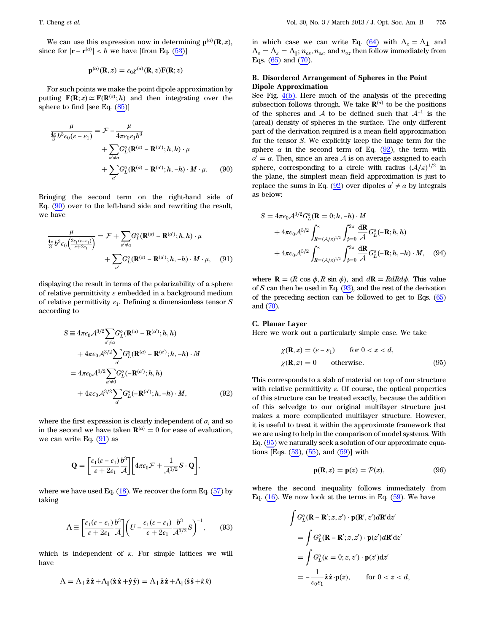$$
\mathbf{p}^{(a)}(\mathbf{R},z) = \varepsilon_0 \chi^{(a)}(\mathbf{R},z) \mathbf{F}(\mathbf{R};z)
$$

<span id="page-12-0"></span>For such points we make the point dipole approximation by putting  $\mathbf{F}(\mathbf{R}; z) \simeq \mathbf{F}(\mathbf{R}^{(a)}; h)$  and then integrating over the sphere to find [see Eq. [\(85](#page-11-1))]

$$
\frac{\mu}{\frac{4\pi}{3}b^3\epsilon_0(\varepsilon-\varepsilon_1)} = \mathcal{F} - \frac{\mu}{4\pi\epsilon_0\varepsilon_1 b^3} \n+ \sum_{\substack{\alpha'\neq a}} G_L^o(\mathbf{R}^{(\alpha)} - \mathbf{R}^{(\alpha)}; h, h) \cdot \mu \n+ \sum_{\substack{\alpha'\\ \alpha'}} G_L^o(\mathbf{R}^{(\alpha)} - \mathbf{R}^{(\alpha)}; h, -h) \cdot M \cdot \mu.
$$
\n(90)

<span id="page-12-1"></span>Bringing the second term on the right-hand side of Eq. ([90\)](#page-12-0) over to the left-hand side and rewriting the result, we have

$$
\frac{\mu}{\frac{4\pi}{3}b^3\epsilon_0\left(\frac{3\epsilon_1(\epsilon-\epsilon_1)}{\epsilon+2\epsilon_1}\right)} = \mathcal{F} + \sum_{\alpha'\neq\alpha} G_L^o(\mathbf{R}^{(\alpha)} - \mathbf{R}^{(\alpha)}; h, h) \cdot \mu
$$

$$
+ \sum_{\alpha'} G_L^o(\mathbf{R}^{(\alpha)} - \mathbf{R}^{(\alpha)}; h, -h) \cdot M \cdot \mu, \quad (91)
$$

<span id="page-12-2"></span>displaying the result in terms of the polarizability of a sphere of relative permittivity  $\varepsilon$  embedded in a background medium of relative permittivity  $\varepsilon_1$ . Defining a dimensionless tensor S according to

$$
S \equiv 4\pi\epsilon_0 \mathcal{A}^{3/2} \sum_{\alpha'\neq\alpha} G_L^o(\mathbf{R}^{(\alpha)} - \mathbf{R}^{(\alpha)}; h, h)
$$
  
+ 
$$
4\pi\epsilon_0 \mathcal{A}^{3/2} \sum_{\alpha'} G_L^o(\mathbf{R}^{(\alpha)} - \mathbf{R}^{(\alpha)}; h, -h) \cdot M
$$
  
= 
$$
4\pi\epsilon_0 \mathcal{A}^{3/2} \sum_{\alpha'\neq 0} G_L^o(-\mathbf{R}^{(\alpha)}; h, h)
$$
  
+ 
$$
4\pi\epsilon_0 \mathcal{A}^{3/2} \sum_{\alpha'} G_L^o(-\mathbf{R}^{(\alpha)}; h, -h) \cdot M,
$$
 (92)

where the first expression is clearly independent of  $\alpha$ , and so in the second we have taken  $\mathbf{R}^{(\alpha)} = 0$  for ease of evaluation, we can write Eq.  $(91)$  $(91)$  as

$$
\mathbf{Q} = \left[\frac{\varepsilon_1(\varepsilon - \varepsilon_1)}{\varepsilon + 2\varepsilon_1} \frac{b^3}{\mathcal{A}}\right] \left[4\pi\varepsilon_0 \mathcal{F} + \frac{1}{\mathcal{A}^{1/2}} S \cdot \mathbf{Q}\right],
$$

<span id="page-12-3"></span>where we have used Eq.  $(18)$  $(18)$ . We recover the form Eq.  $(57)$  $(57)$  by taking

$$
\Lambda \equiv \left[ \frac{\varepsilon_1 (\varepsilon - \varepsilon_1)}{\varepsilon + 2\varepsilon_1} \frac{b^3}{\mathcal{A}} \right] \left( U - \frac{\varepsilon_1 (\varepsilon - \varepsilon_1)}{\varepsilon + 2\varepsilon_1} \frac{b^3}{\mathcal{A}^{3/2}} S \right)^{-1},\tag{93}
$$

which is independent of  $\kappa$ . For simple lattices we will have

$$
\Lambda = \Lambda_{\perp} \hat{\mathbf{z}} \hat{\mathbf{z}} + \Lambda_{\parallel} (\hat{\mathbf{x}} \hat{\mathbf{x}} + \hat{\mathbf{y}} \hat{\mathbf{y}}) = \Lambda_{\perp} \hat{\mathbf{z}} \hat{\mathbf{z}} + \Lambda_{\parallel} (\hat{\mathbf{s}} \hat{\mathbf{s}} + \hat{\mathbf{x}} \hat{\mathbf{x}})
$$

in which case we can write Eq. ([64\)](#page-8-2) with  $\Lambda_z = \Lambda_{\perp}$  and  $\Lambda_s = \Lambda_{\kappa} = \Lambda_{\parallel}; n_{os}, n_{os}$ , and  $n_{oz}$  then follow immediately from Eqs. [\(65](#page-8-8)) and ([70\)](#page-9-0).

## B. Disordered Arrangement of Spheres in the Point Dipole Approximation

See Fig. [4\(b\)](#page-11-0). Here much of the analysis of the preceding subsection follows through. We take  $\mathbf{R}^{(\alpha)}$  to be the positions of the spheres and A to be defined such that  $A^{-1}$  is the (areal) density of spheres in the surface. The only different part of the derivation required is a mean field approximation for the tensor S. We explicitly keep the image term for the sphere  $\alpha$  in the second term of Eq. [\(92](#page-12-2)), the term with  $\alpha' = \alpha$ . Then, since an area A is on average assigned to each sphere, corresponding to a circle with radius  $(\mathcal{A}/\pi)^{1/2}$  in the plane, the simplest mean field approximation is just to replace the sums in Eq. ([92\)](#page-12-2) over dipoles  $\alpha' \neq \alpha$  by integrals as below:

<span id="page-12-6"></span>
$$
S = 4\pi\epsilon_0 \mathcal{A}^{3/2} G_L^o(\mathbf{R} = 0; h, -h) \cdot M
$$
  
+ 
$$
4\pi\epsilon_0 \mathcal{A}^{3/2} \int_{R = (\mathcal{A}/\pi)^{1/2}}^{\infty} \int_{\phi=0}^{2\pi} \frac{d\mathbf{R}}{\mathcal{A}} G_L^o(-\mathbf{R}; h, h)
$$
  
+ 
$$
4\pi\epsilon_0 \mathcal{A}^{3/2} \int_{R = (\mathcal{A}/\pi)^{1/2}}^{\infty} \int_{\phi=0}^{2\pi} \frac{d\mathbf{R}}{\mathcal{A}} G_L^o(-\mathbf{R}; h, -h) \cdot M, \quad (94)
$$

where  $\mathbf{R} = (R \cos \phi, R \sin \phi)$ , and  $d\mathbf{R} = RdR d\phi$ . This value of S can then be used in Eq.  $(93)$ , and the rest of the derivation of the preceding section can be followed to get to Eqs. [\(65\)](#page-8-8) and [\(70\)](#page-9-0).

#### <span id="page-12-7"></span><span id="page-12-4"></span>C. Planar Layer

Here we work out a particularly simple case. We take

$$
\chi(\mathbf{R}, z) = (\varepsilon - \varepsilon_1) \quad \text{for } 0 < z < d,
$$
  
\n
$$
\chi(\mathbf{R}, z) = 0 \quad \text{otherwise.}
$$
\n(95)

This corresponds to a slab of material on top of our structure with relative permittivity  $\varepsilon$ . Of course, the optical properties of this structure can be treated exactly, because the addition of this selvedge to our original multilayer structure just makes a more complicated multilayer structure. However, it is useful to treat it within the approximate framework that we are using to help in the comparison of model systems. With Eq. [\(95](#page-12-4)) we naturally seek a solution of our approximate equations [Eqs.  $(53)$  $(53)$ ,  $(55)$  $(55)$ , and  $(59)$  $(59)$ ] with

$$
\mathbf{p}(\mathbf{R}, z) = \mathbf{p}(z) = \mathcal{P}(z),\tag{96}
$$

<span id="page-12-5"></span>where the second inequality follows immediately from Eq.  $(16)$  $(16)$ . We now look at the terms in Eq.  $(59)$  $(59)$ . We have

$$
\int G_L^o(\mathbf{R} - \mathbf{R}'; z, z') \cdot \mathbf{p}(\mathbf{R}', z') d\mathbf{R}' dz'
$$
  
= 
$$
\int G_L^o(\mathbf{R} - \mathbf{R}'; z, z') \cdot \mathbf{p}(z') d\mathbf{R}' dz'
$$
  
= 
$$
\int G_L^o(\kappa = 0; z, z') \cdot \mathbf{p}(z') dz'
$$
  
= 
$$
-\frac{1}{\epsilon_0 \epsilon_1} \hat{\mathbf{z}} \hat{\mathbf{z}} \cdot \mathbf{p}(z), \quad \text{for } 0 < z < d,
$$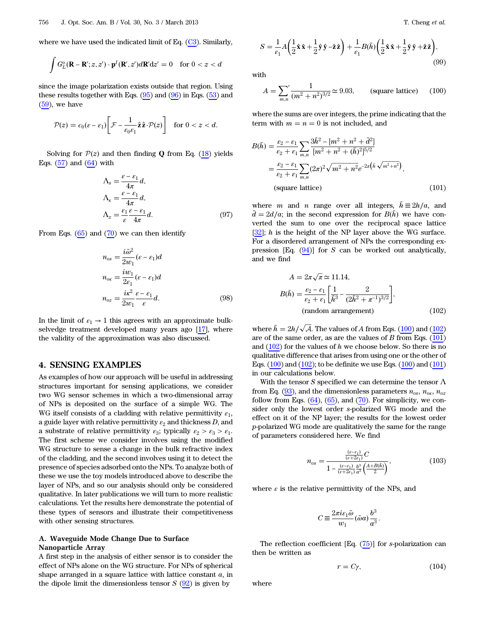where we have used the indicated limit of Eq. ([C3](#page-19-0)). Similarly,

$$
\int G_L^o(\mathbf{R} - \mathbf{R}'; z, z') \cdot \mathbf{p}^I(\mathbf{R}', z') d\mathbf{R}' dz' = 0 \quad \text{for } 0 < z < d
$$

since the image polarization exists outside that region. Using these results together with Eqs.  $(95)$  $(95)$  and  $(96)$  $(96)$  in Eqs.  $(53)$  $(53)$  and  $(59)$  $(59)$  $(59)$ , we have

$$
\mathcal{P}(z) = \epsilon_0 (\varepsilon - \varepsilon_1) \bigg[ \mathcal{F} - \frac{1}{\varepsilon_0 \varepsilon_1} \hat{\mathbf{z}} \cdot \mathcal{P}(z) \bigg] \quad \text{for } 0 < z < d.
$$

<span id="page-13-6"></span>Solving for  $P(z)$  and then finding Q from Eq. [\(18](#page-3-8)) yields Eqs.  $(57)$  $(57)$  and  $(64)$  with

$$
\Lambda_s = \frac{\varepsilon - \varepsilon_1}{4\pi} d,
$$
  
\n
$$
\Lambda_\kappa = \frac{\varepsilon - \varepsilon_1}{4\pi} d,
$$
  
\n
$$
\Lambda_z = \frac{\varepsilon_1 \varepsilon - \varepsilon_1}{\varepsilon 4\pi} d.
$$
\n(97)

<span id="page-13-5"></span>From Eqs.  $(65)$  $(65)$  and  $(70)$  $(70)$  we can then identify

$$
n_{os} = \frac{i\tilde{\omega}^2}{2w_1} (\varepsilon - \varepsilon_1) d
$$
  
\n
$$
n_{os} = \frac{i w_1}{2\varepsilon_1} (\varepsilon - \varepsilon_1) d
$$
  
\n
$$
n_{os} = \frac{i\kappa^2}{2w_1} \frac{\varepsilon - \varepsilon_1}{\varepsilon} d.
$$
 (98)

In the limit of  $\varepsilon_1 \to 1$  this agrees with an approximate bulkselvedge treatment developed many years ago [\[17](#page-22-12)], where the validity of the approximation was also discussed.

## <span id="page-13-0"></span>4. SENSING EXAMPLES

As examples of how our approach will be useful in addressing structures important for sensing applications, we consider two WG sensor schemes in which a two-dimensional array of NPs is deposited on the surface of a simple WG. The WG itself consists of a cladding with relative permittivity  $\varepsilon_1$ , a guide layer with relative permittivity  $\varepsilon_2$  and thickness D, and a substrate of relative permittivity  $\varepsilon_3$ ; typically  $\varepsilon_2 > \varepsilon_3 > \varepsilon_1$ . The first scheme we consider involves using the modified WG structure to sense a change in the bulk refractive index of the cladding, and the second involves using it to detect the presence of species adsorbed onto the NPs. To analyze both of these we use the toy models introduced above to describe the layer of NPs, and so our analysis should only be considered qualitative. In later publications we will turn to more realistic calculations. Yet the results here demonstrate the potential of these types of sensors and illustrate their competitiveness with other sensing structures.

## A. Waveguide Mode Change Due to Surface Nanoparticle Array

A first step in the analysis of either sensor is to consider the effect of NPs alone on the WG structure. For NPs of spherical shape arranged in a square lattice with lattice constant  $a$ , in the dipole limit the dimensionless tensor  $S(92)$  $S(92)$  is given by

$$
S = \frac{1}{\varepsilon_1} A \left( \frac{1}{2} \hat{\mathbf{x}} \hat{\mathbf{x}} + \frac{1}{2} \hat{\mathbf{y}} \hat{\mathbf{y}} - \hat{\mathbf{z}} \hat{\mathbf{z}} \right) + \frac{1}{\varepsilon_1} B(\bar{h}) \left( \frac{1}{2} \hat{\mathbf{x}} \hat{\mathbf{x}} + \frac{1}{2} \hat{\mathbf{y}} \hat{\mathbf{y}} + \hat{\mathbf{z}} \hat{\mathbf{z}} \right),\tag{99}
$$

<span id="page-13-1"></span>with

$$
A = \sum_{m,n}^{\prime} \frac{1}{(m^2 + n^2)^{3/2}} \simeq 9.03,
$$
 (square lattice) (100)

<span id="page-13-3"></span>where the sums are over integers, the prime indicating that the term with  $m = n = 0$  is not included, and

$$
B(\bar{h}) = \frac{\varepsilon_2 - \varepsilon_1}{\varepsilon_2 + \varepsilon_1} \sum_{m,n} \frac{3\bar{h}^2 - [m^2 + n^2 + \bar{d}^2]}{[m^2 + n^2 + (\bar{h})^2]^{5/2}}
$$
  
=  $\frac{\varepsilon_2 - \varepsilon_1}{\varepsilon_2 + \varepsilon_1} \sum_{m,n} (2\pi)^2 \sqrt{m^2 + n^2} e^{-2\pi (\bar{h} \sqrt{m^2 + n^2})},$   
(square lattice) (101)

where m and n range over all integers,  $\bar{h} \equiv 2h/a$ , and  $\bar{d} = 2d/a$ ; in the second expression for  $B(\bar{h})$  we have converted the sum to one over the reciprocal space lattice  $[32]$  $[32]$ ; h is the height of the NP layer above the WG surface. For a disordered arrangement of NPs the corresponding expression [Eq.  $(94)$  $(94)$ ] for S can be worked out analytically, and we find

<span id="page-13-2"></span>
$$
A = 2\pi\sqrt{\pi} \approx 11.14,
$$
  
\n
$$
B(\bar{h}) = \frac{\varepsilon_2 - \varepsilon_1}{\varepsilon_2 + \varepsilon_1} \left[ \frac{1}{\bar{h}^3} - \frac{2}{(2\bar{h}^2 + \pi^{-1})^{3/2}} \right],
$$
  
\n(random arrangement) (102)

where  $\bar{h} = 2h/\sqrt{A}$ . The values of A from Eqs. ([100](#page-13-1)) and [\(102\)](#page-13-2) are of the same order, as are the values of  $B$  from Eqs. [\(101\)](#page-13-3) and  $(102)$  for the values of h we choose below. So there is no qualitative difference that arises from using one or the other of Eqs. [\(100\)](#page-13-1) and ([102](#page-13-2)); to be definite we use Eqs. ([100](#page-13-1)) and [\(101\)](#page-13-3) in our calculations below.

With the tensor S specified we can determine the tensor  $\Lambda$ from Eq. [\(93](#page-12-3)), and the dimensionless parameters  $n_{os}$ ,  $n_{ox}$ ,  $n_{oz}$ follow from Eqs.  $(64)$  $(64)$ ,  $(65)$  $(65)$ , and  $(70)$  $(70)$ . For simplicity, we consider only the lowest order s-polarized WG mode and the effect on it of the NP layer; the results for the lowest order p-polarized WG mode are qualitatively the same for the range of parameters considered here. We find

$$
n_{os} = \frac{\frac{(e-\varepsilon_1)}{(e+2\varepsilon_1)}C}{1 - \frac{(e-\varepsilon_1)}{(e+2\varepsilon_1)}\frac{b^3}{a^3}\left(\frac{A+B(\tilde{h})}{2}\right)},\tag{103}
$$

where  $\varepsilon$  is the relative permittivity of the NPs, and

$$
C\equiv\frac{2\pi i\varepsilon_1\tilde{\omega}}{w_1}(\tilde{\omega}a)\frac{b^3}{a^3}.
$$

The reflection coefficient  $[Eq. (75)]$  $[Eq. (75)]$  $[Eq. (75)]$  for s-polarization can then be written as

$$
r = C\gamma,\tag{104}
$$

<span id="page-13-4"></span>where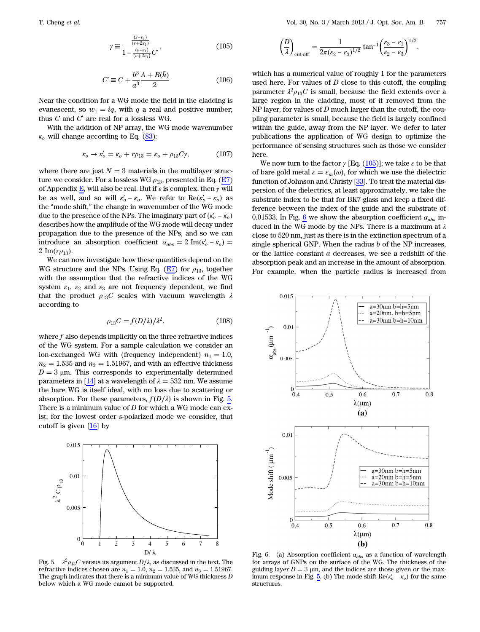$$
\gamma \equiv \frac{\frac{(e-\epsilon_1)}{(e+2\epsilon_1)}}{1 - \frac{(e-\epsilon_1)}{(e+2\epsilon_1)}C'},\tag{105}
$$

$$
C' \equiv C + \frac{b^3 A + B(\bar{h})}{a^3 - 2} \tag{106}
$$

Near the condition for a WG mode the field in the cladding is evanescent, so  $w_1 = iq$ , with q a real and positive number; thus  $C$  and  $C'$  are real for a lossless WG.

<span id="page-14-2"></span>With the addition of NP array, the WG mode wavenumber  $\kappa_o$  will change according to Eq. ([83\)](#page-10-4):

$$
\kappa_o \to \kappa_o' = \kappa_o + r\rho_{13} = \kappa_o + \rho_{13}C\gamma,\tag{107}
$$

where there are just  $N = 3$  materials in the multilayer structure we consider. For a lossless WG  $\rho_{13}$ , presented in Eq. [\(E7\)](#page-21-0) of Appendix  $\underline{\mathbf{E}}$ , will also be real. But if  $\varepsilon$  is complex, then  $\gamma$  will be as well, and so will  $\kappa'_{o} - \kappa_{o}$ . We refer to  $\text{Re}(\kappa'_{o} - \kappa_{o})$  as the "mode shift," the change in wavenumber of the WG mode due to the presence of the NPs. The imaginary part of  $(\kappa_o' - \kappa_o)$ describes how the amplitude of the WG mode will decay under propagation due to the presence of the NPs, and so we can introduce an absorption coefficient  $\alpha_{abs} = 2 \text{Im}(\kappa_o' - \kappa_o) =$  $2 \text{Im}(r\rho_{13}).$ 

We can now investigate how these quantities depend on the WG structure and the NPs. Using Eq. ([E7](#page-21-0)) for  $\rho_{13}$ , together with the assumption that the refractive indices of the WG system  $\varepsilon_1$ ,  $\varepsilon_2$  and  $\varepsilon_3$  are not frequency dependent, we find that the product  $\rho_{13}C$  scales with vacuum wavelength  $\lambda$ according to

$$
\rho_{13}C = f(D/\lambda)/\lambda^2,\tag{108}
$$

where  $f$  also depends implicitly on the three refractive indices of the WG system. For a sample calculation we consider an ion-exchanged WG with (frequency independent)  $n_1 = 1.0$ ,  $n_2 = 1.535$  and  $n_3 = 1.51967$ , and with an effective thickness  $D = 3 \mu m$ . This corresponds to experimentally determined parameters in [[14\]](#page-22-9) at a wavelength of  $\lambda = 532$  nm. We assume the bare WG is itself ideal, with no loss due to scattering or absorption. For these parameters,  $f(D/\lambda)$  is shown in Fig. [5.](#page-14-0) There is a minimum value of  $D$  for which a WG mode can exist; for the lowest order s-polarized mode we consider, that cutoff is given [[16\]](#page-22-11) by

<span id="page-14-0"></span>

Fig. 5.  $\lambda^2 \rho_{13} C$  versus its argument  $D/\lambda$ , as discussed in the text. The refractive indices chosen are  $n_1 = 1.0$ ,  $n_2 = 1.535$ , and  $n_3 = 1.51967$ . The graph indicates that there is a minimum value of WG thickness  $D$ below which a WG mode cannot be supported.

$$
\left(\frac{D}{\lambda}\right)_{\text{cutoff}} = \frac{1}{2\pi(\epsilon_2 - \epsilon_3)^{1/2}} \tan^{-1} \left(\frac{\epsilon_3 - \epsilon_1}{\epsilon_2 - \epsilon_3}\right)^{1/2},
$$

which has a numerical value of roughly 1 for the parameters used here. For values of  $D$  close to this cutoff, the coupling parameter  $\lambda^2 \rho_{13} C$  is small, because the field extends over a large region in the cladding, most of it removed from the NP layer; for values of  $D$  much larger than the cutoff, the coupling parameter is small, because the field is largely confined within the guide, away from the NP layer. We defer to later publications the application of WG design to optimize the performance of sensing structures such as those we consider here.

We now turn to the factor  $\gamma$  [Eq. ([105](#page-13-4))]; we take  $\varepsilon$  to be that of bare gold metal  $\varepsilon = \varepsilon_m(\omega)$ , for which we use the dielectric function of Johnson and Christy [[33\]](#page-22-25). To treat the material dispersion of the dielectrics, at least approximately, we take the substrate index to be that for BK7 glass and keep a fixed difference between the index of the guide and the substrate of 0.01533. In Fig.  $6$  we show the absorption coefficient  $\alpha_{abs}$  induced in the WG mode by the NPs. There is a maximum at  $\lambda$ close to 520 nm, just as there is in the extinction spectrum of a single spherical GNP. When the radius  $b$  of the NP increases, or the lattice constant  $\boldsymbol{a}$  decreases, we see a redshift of the absorption peak and an increase in the amount of absorption. For example, when the particle radius is increased from

<span id="page-14-1"></span>

Fig. 6. (a) Absorption coefficient  $\alpha_{abs}$  as a function of wavelength for arrays of GNPs on the surface of the WG. The thickness of the guiding layer  $D = 3 \mu m$ , and the indices are those given or the max-imum response in Fig. [5](#page-14-0). (b) The mode shift  $\text{Re}(\kappa_o' - \kappa_o)$  for the same structures.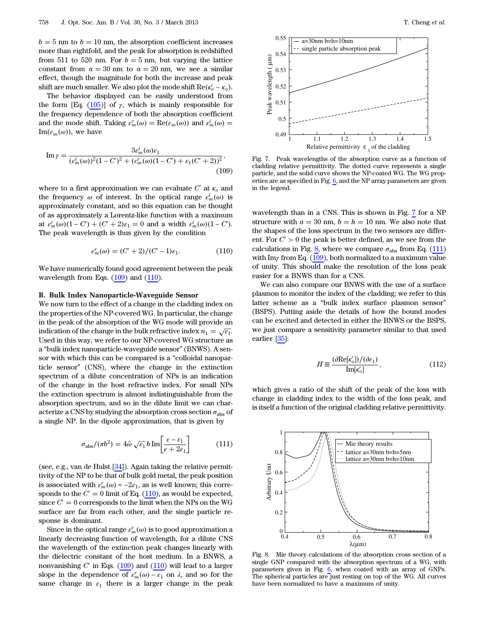$b = 5$  nm to  $b = 10$  nm, the absorption coefficient increases more than eightfold, and the peak for absorption is redshifted from 511 to 520 nm. For  $b = 5$  nm, but varying the lattice constant from  $a = 30$  nm to  $a = 20$  nm, we see a similar effect, though the magnitude for both the increase and peak shift are much smaller. We also plot the mode shift  $\text{Re}(\kappa_o' - \kappa_o)$ .

The behavior displayed can be easily understood from the form [Eq.  $(105)$ ] of  $\gamma$ , which is mainly responsible for the frequency dependence of both the absorption coefficient and the mode shift. Taking  $\varepsilon_m^r(\omega) = \text{Re}(\varepsilon_m(\omega))$  and  $\varepsilon_m^i(\omega) =$  $\text{Im}(\varepsilon_m(\omega))$ , we have

<span id="page-15-0"></span>Im 
$$
\gamma = \frac{3\epsilon_m^i(\omega)\epsilon_1}{(\epsilon_m^i(\omega))^2 (1 - C')^2 + (\epsilon_m^r(\omega)(1 - C') + \epsilon_1(C' + 2))^2}
$$
, (109)

<span id="page-15-1"></span>where to a first approximation we can evaluate  $C'$  at  $\kappa_o$  and the frequency  $\omega$  of interest. In the optical range  $\varepsilon_m^i(\omega)$  is approximately constant, and so this equation can be thought of as approximately a Lorentz-like function with a maximum at  $\varepsilon_m^r(\omega)(1 - C') + (C' + 2)\varepsilon_1 = 0$  and a width  $\varepsilon_m^i(\omega)(1 - C')$ . The peak wavelength is thus given by the condition

$$
\varepsilon_m^r(\omega) = (C' + 2)/(C' - 1)\varepsilon_1.
$$
 (110)

We have numerically found good agreement between the peak wavelength from Eqs. [\(109\)](#page-15-0) and [\(110\)](#page-15-1).

#### B. Bulk Index Nanoparticle-Waveguide Sensor

We now turn to the effect of a change in the cladding index on the properties of the NP-covered WG. In particular, the change in the peak of the absorption of the WG mode will provide an indication of the change in the bulk refractive index  $n_1 = \sqrt{\epsilon_1}$ . Used in this way, we refer to our NP-covered WG structure as <sup>a</sup> "bulk index nanoparticle-waveguide sensor" (BNWS). A sensor with which this can be compared is a "colloidal nanoparticle sensor" (CNS), where the change in the extinction spectrum of a dilute concentration of NPs is an indication of the change in the host refractive index. For small NPs the extinction spectrum is almost indistinguishable from the absorption spectrum, and so in the dilute limit we can characterize a CNS by studying the absorption cross section  $\sigma_{\text{abs}}$  of a single NP. In the dipole approximation, that is given by

<span id="page-15-4"></span>
$$
\sigma_{\text{abs}}/(\pi b^2) = 4\tilde{\omega}\sqrt{\epsilon_1}b \,\text{Im}\left[\frac{\varepsilon - \epsilon_1}{\varepsilon + 2\epsilon_1}\right] \tag{111}
$$

(see, e.g., van de Hulst [[34\]](#page-22-26)). Again taking the relative permittivity of the NP to be that of bulk gold metal, the peak position is associated with  $\varepsilon_m^r(\omega) \approx -2\varepsilon_1$ , as is well known; this corresponds to the  $C' = 0$  limit of Eq. [\(110\)](#page-15-1), as would be expected, since  $C' = 0$  corresponds to the limit when the NPs on the WG surface are far from each other, and the single particle response is dominant.

Since in the optical range  $\varepsilon_m^r(\omega)$  is to good approximation a linearly decreasing function of wavelength, for a dilute CNS the wavelength of the extinction peak changes linearly with the dielectric constant of the host medium. In a BNWS, a nonvanishing  $C'$  in Eqs. ([109](#page-15-0)) and ([110](#page-15-1)) will lead to a larger slope in the dependence of  $\varepsilon_m^r(\omega) - \varepsilon_1$  on  $\lambda$ , and so for the same change in  $\varepsilon_1$  there is a larger change in the peak

<span id="page-15-2"></span>

Fig. 7. Peak wavelengths of the absorption curve as a function of cladding relative permittivity. The dotted curve represents a single particle, and the solid curve shows the NP-coated WG. The WG properties are as specified in Fig. [6,](#page-14-1) and the NP array parameters are given in the legend.

wavelength than in a CNS. This is shown in Fig. [7](#page-15-2) for a NP structure with  $a = 30$  nm,  $b = h = 10$  nm. We also note that the shapes of the loss spectrum in the two sensors are different. For  $C' > 0$  the peak is better defined, as we see from the calculations in Fig.  $\frac{8}{5}$ , where we compare  $\sigma_{\text{abs}}$  from Eq. [\(111\)](#page-15-4) with Imγ from Eq.  $(109)$  $(109)$  $(109)$ , both normalized to a maximum value of unity. This should make the resolution of the loss peak easier for a BNWS than for a CNS.

<span id="page-15-5"></span>We can also compare our BNWS with the use of a surface plasmon to monitor the index of the cladding; we refer to this latter scheme as a "bulk index surface plasmon sensor" (BSPS). Putting aside the details of how the bound modes can be excited and detected in either the BNWS or the BSPS, we just compare a sensitivity parameter similar to that used earlier [\[35](#page-22-27)]:

$$
H \equiv \frac{(\partial \text{Re}[\kappa_o'])/(\partial \varepsilon_1)}{\text{Im}[\kappa_o']} \,, \tag{112}
$$

which gives a ratio of the shift of the peak of the loss with change in cladding index to the width of the loss peak, and is itself a function of the original cladding relative permittivity.

<span id="page-15-3"></span>

Fig. 8. Mie theory calculations of the absorption cross section of a single GNP compared with the absorption spectrum of a WG, with parameters given in Fig.  $6$ , when coated with an array of GNPs. The spherical particles are just resting on top of the WG. All curves have been normalized to have a maximum of unity.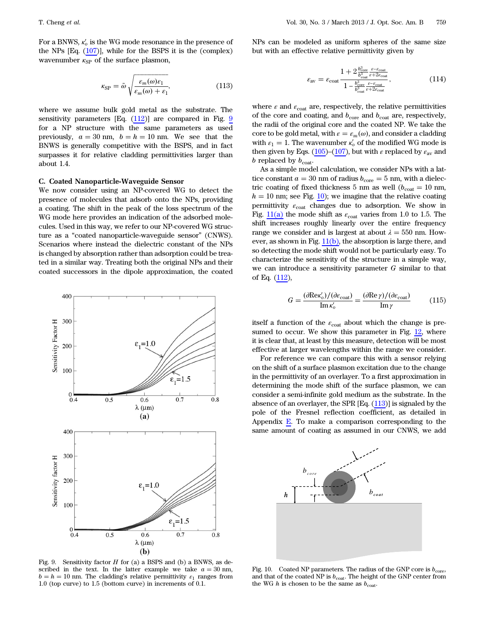<span id="page-16-2"></span>For a BNWS,  $\kappa_o'$  is the WG mode resonance in the presence of the NPs  $[Eq. (107)]$  $[Eq. (107)]$  $[Eq. (107)]$ , while for the BSPS it is the (complex) wavenumber  $\kappa_{\rm SP}$  of the surface plasmon,

$$
\kappa_{\rm SP} = \tilde{\omega} \sqrt{\frac{\varepsilon_m(\omega)\varepsilon_1}{\varepsilon_m(\omega) + \varepsilon_1}},\tag{113}
$$

where we assume bulk gold metal as the substrate. The sensitivity parameters  $[Eq. (112)]$  $[Eq. (112)]$  $[Eq. (112)]$  are compared in Fig. [9](#page-16-0) for a NP structure with the same parameters as used previously,  $a = 30$  nm,  $b = h = 10$  nm. We see that the BNWS is generally competitive with the BSPS, and in fact surpasses it for relative cladding permittivities larger than about 1.4.

#### C. Coated Nanoparticle-Waveguide Sensor

We now consider using an NP-covered WG to detect the presence of molecules that adsorb onto the NPs, providing a coating. The shift in the peak of the loss spectrum of the WG mode here provides an indication of the adsorbed molecules. Used in this way, we refer to our NP-covered WG structure as a "coated nanoparticle-waveguide sensor" (CNWS). Scenarios where instead the dielectric constant of the NPs is changed by absorption rather than adsorption could be treated in a similar way. Treating both the original NPs and their coated successors in the dipole approximation, the coated

<span id="page-16-0"></span>

Fig. 9. Sensitivity factor  $H$  for (a) a BSPS and (b) a BNWS, as described in the text. In the latter example we take  $a = 30$  nm,  $b = h = 10$  nm. The cladding's relative permittivity  $\varepsilon_1$  ranges from 1.0 (top curve) to 1.5 (bottom curve) in increments of 0.1.

NPs can be modeled as uniform spheres of the same size but with an effective relative permittivity given by

$$
\varepsilon_{\rm av} = \varepsilon_{\rm coat} \frac{1 + 2 \frac{b_{\rm core}^3}{b_{\rm coat}^3} \frac{\varepsilon - \varepsilon_{\rm coat}}{\varepsilon + 2\varepsilon_{\rm coat}}}{1 - \frac{b_{\rm core}^3}{b_{\rm coat}^3} \frac{\varepsilon - \varepsilon_{\rm coat}}{\varepsilon + 2\varepsilon_{\rm coat}}},\tag{114}
$$

where  $\varepsilon$  and  $\varepsilon_{\text{cont}}$  are, respectively, the relative permittivities of the core and coating, and  $b_{\rm core}$  and  $b_{\rm coat}$  are, respectively, the radii of the original core and the coated NP. We take the core to be gold metal, with  $\varepsilon = \varepsilon_m(\omega)$ , and consider a cladding with  $\varepsilon_1 = 1$ . The wavenumber  $\kappa_o'$  of the modified WG mode is then given by Eqs. [\(105\)](#page-13-4)–[\(107\)](#page-14-2), but with  $\varepsilon$  replaced by  $\varepsilon_{\text{av}}$  and b replaced by  $b_{\text{coat}}$ .

As a simple model calculation, we consider NPs with a lattice constant  $a = 30$  nm of radius  $b_{\text{core}} = 5$  nm, with a dielectric coating of fixed thickness 5 nm as well ( $b_{\text{coat}} = 10$  nm,  $h = 10$  $h = 10$  nm; see Fig. 10); we imagine that the relative coating permittivity  $\varepsilon_{\text{coat}}$  changes due to adsorption. We show in Fig.  $11(a)$  the mode shift as  $\varepsilon_{\text{coat}}$  varies from 1.0 to 1.5. The shift increases roughly linearly over the entire frequency range we consider and is largest at about  $\lambda = 550$  nm. However, as shown in Fig. [11\(b\)](#page-17-0), the absorption is large there, and so detecting the mode shift would not be particularly easy. To characterize the sensitivity of the structure in a simple way, we can introduce a sensitivity parameter  $G$  similar to that of Eq. [\(112\)](#page-15-5),

<span id="page-16-3"></span>
$$
G = \frac{(\partial \text{Re}\kappa_o')/(\partial \varepsilon_{\text{coat}})}{\text{Im}\,\kappa_o'} = \frac{(\partial \text{Re}\,\gamma)/(\partial \varepsilon_{\text{coat}})}{\text{Im}\,\gamma} \tag{115}
$$

itself a function of the  $\varepsilon_{\text{coat}}$  about which the change is pre-sumed to occur. We show this parameter in Fig. [12,](#page-17-1) where it is clear that, at least by this measure, detection will be most effective at larger wavelengths within the range we consider.

For reference we can compare this with a sensor relying on the shift of a surface plasmon excitation due to the change in the permittivity of an overlayer. To a first approximation in determining the mode shift of the surface plasmon, we can consider a semi-infinite gold medium as the substrate. In the absence of an overlayer, the SPR [Eq. [\(113\)](#page-16-2)] is signaled by the pole of the Fresnel reflection coefficient, as detailed in Appendix  $E$ . To make a comparison corresponding to the same amount of coating as assumed in our CNWS, we add

<span id="page-16-1"></span>

Fig. 10. Coated NP parameters. The radius of the GNP core is  $b_{\text{core}}$ , and that of the coated NP is  $b_{\text{coat}}$ . The height of the GNP center from the WG  $h$  is chosen to be the same as  $b_{\text{coat}}$ .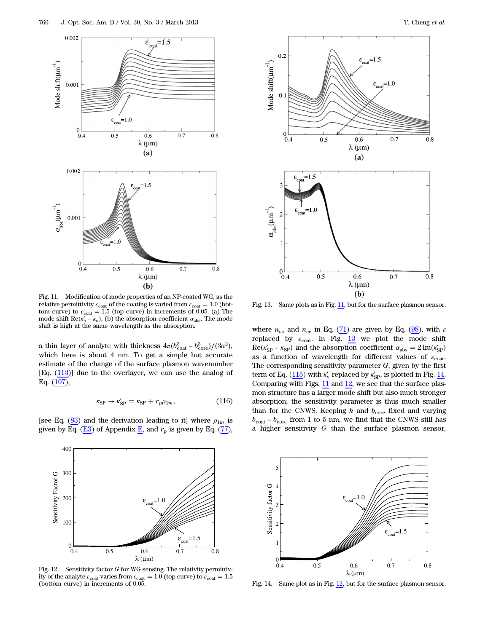<span id="page-17-0"></span>

Fig. 11. Modification of mode properties of an NP-coated WG, as the relative permittivity  $\varepsilon_{\text{coat}}$  of the coating is varied from  $\varepsilon_{\text{coat}} = 1.0$  (bottom curve) to  $\varepsilon_{\text{coat}} = 1.5$  (top curve) in increments of 0.05. (a) The mode shift  $\text{Re}(k'_0 - k_0)$ , (b) the absorption coefficient  $\alpha_{\text{abs}}$ . The mode shift is high at the same wavelength as the absorption.

a thin layer of analyte with thickness  $4\pi (b_{\text{cot}t}^3 - b_{\text{core}}^3)/(3a^2)$ , which here is about 4 nm. To get a simple but accurate estimate of the change of the surface plasmon wavenumber [Eq. ([113](#page-16-2))] due to the overlayer, we can use the analog of Eq. [\(107\)](#page-14-2),

$$
\kappa_{\rm SP} \to \kappa_{\rm SP}' = \kappa_{\rm SP} + r_p \rho_{1m},\tag{116}
$$

[see Eq. [\(83](#page-10-4)) and the derivation leading to it] where  $\rho_{1m}$  is given by Eq. ( $\underline{E}3$ ) of Appendix  $\underline{E}$ , and  $r_p$  is given by Eq. [\(77](#page-9-5)),

<span id="page-17-1"></span>

Fig. 12. Sensitivity factor  $G$  for WG sensing. The relativity permittivity of the analyte  $\varepsilon_{\text{coat}}$  varies from  $\varepsilon_{\text{coat}} = 1.0$  (top curve) to  $\varepsilon_{\text{coat}} = 1.5$ (bottom curve) in increments of 0.05.

<span id="page-17-2"></span>

Fig. 13. Same plots as in Fig. [11,](#page-17-0) but for the surface plasmon sensor.

where  $n_{oz}$  and  $n_{ox}$  in Eq. ([71\)](#page-9-7) are given by Eq. [\(98](#page-13-5)), with  $\varepsilon$ replaced by  $\varepsilon_{\text{coat}}$ . In Fig.  $13$  we plot the mode shift  $\text{Re}(\kappa'_{\text{SP}} - \kappa_{\text{SP}})$  and the absorption coefficient  $\alpha_{\text{abs}} = 2 \text{Im}(\kappa'_{\text{SP}})$ as a function of wavelength for different values of  $\varepsilon_{\text{coat}}$ . The corresponding sensitivity parameter  $G$ , given by the first term of Eq. [\(115\)](#page-16-3) with  $\kappa_o'$  replaced by  $\kappa_{\rm SP}'$ , is plotted in Fig. [14.](#page-17-3) Comparing with Figs.  $11$  and  $12$ , we see that the surface plasmon structure has a larger mode shift but also much stronger absorption; the sensitivity parameter is thus much smaller than for the CNWS. Keeping  $h$  and  $b_{\text{core}}$  fixed and varying  $b_{\rm coat}$  –  $b_{\rm core}$  from 1 to 5 nm, we find that the CNWS still has a higher sensitivity G than the surface plasmon sensor,

<span id="page-17-3"></span>

Fig. 14. Same plot as in Fig. [12](#page-17-1), but for the surface plasmon sensor.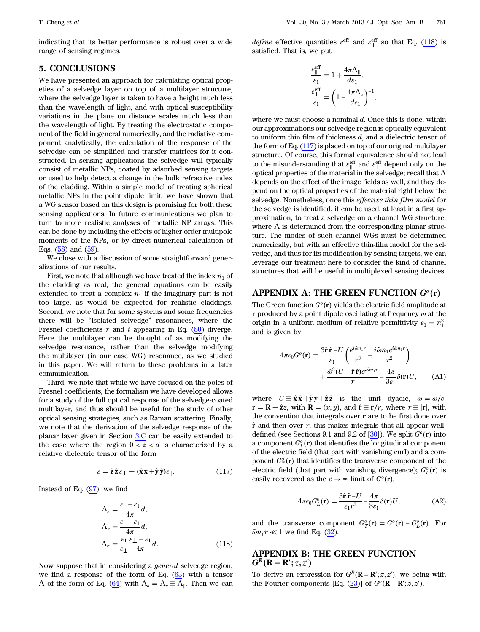indicating that its better performance is robust over a wide range of sensing regimes.

## <span id="page-18-0"></span>5. CONCLUSIONS

We have presented an approach for calculating optical propeties of a selvedge layer on top of a multilayer structure, where the selvedge layer is taken to have a height much less than the wavelength of light, and with optical susceptibility variations in the plane on distance scales much less than the wavelength of light. By treating the electrostatic component of the field in general numerically, and the radiative component analytically, the calculation of the response of the selvedge can be simplified and transfer matrices for it constructed. In sensing applications the selvedge will typically consist of metallic NPs, coated by adsorbed sensing targets or used to help detect a change in the bulk refractive index of the cladding. Within a simple model of treating spherical metallic NPs in the point dipole limit, we have shown that a WG sensor based on this design is promising for both these sensing applications. In future communications we plan to turn to more realistic analyses of metallic NP arrays. This can be done by including the effects of higher order multipole moments of the NPs, or by direct numerical calculation of Eqs.  $(58)$  $(58)$  and  $(59)$ .

We close with a discussion of some straightforward generalizations of our results.

First, we note that although we have treated the index  $n_1$  of the cladding as real, the general equations can be easily extended to treat a complex  $n_1$  if the imaginary part is not too large, as would be expected for realistic claddings. Second, we note that for some systems and some frequencies there will be "isolated selvedge" resonances, where the Fresnel coefficients  $r$  and  $t$  appearing in Eq. [\(80](#page-10-1)) diverge. Here the multilayer can be thought of as modifying the selvedge resonance, rather than the selvedge modifying the multilayer (in our case WG) resonance, as we studied in this paper. We will return to these problems in a later communication.

Third, we note that while we have focused on the poles of Fresnel coefficients, the formalism we have developed allows for a study of the full optical response of the selvedge-coated multilayer, and thus should be useful for the study of other optical sensing strategies, such as Raman scattering. Finally, we note that the derivation of the selvedge response of the planar layer given in Section [3.C](#page-12-7) can be easily extended to the case where the region  $0 < z < d$  is characterized by a relative dielectric tensor of the form

$$
\varepsilon = \hat{\mathbf{z}} \hat{\mathbf{z}} \varepsilon_{\perp} + (\hat{\mathbf{x}} \hat{\mathbf{x}} + \hat{\mathbf{y}} \hat{\mathbf{y}}) \varepsilon_{\parallel}. \tag{117}
$$

<span id="page-18-4"></span><span id="page-18-3"></span>Instead of Eq.  $(97)$  $(97)$ , we find

$$
\Lambda_s = \frac{\varepsilon_{\parallel} - \varepsilon_1}{4\pi} d,
$$
\n
$$
\Lambda_{\kappa} = \frac{\varepsilon_{\parallel} - \varepsilon_1}{4\pi} d,
$$
\n
$$
\Lambda_z = \frac{\varepsilon_1}{\varepsilon_1} \frac{\varepsilon_1 - \varepsilon_1}{4\pi} d.
$$
\n(118)

Now suppose that in considering a general selvedge region, we find a response of the form of Eq.  $(63)$  $(63)$  with a tensor  $Λ$  of the form of Eq. ([64\)](#page-8-2) with  $Λ_s = Λ_k ≡ Λ_{\parallel}$ . Then we can

*define* effective quantities  $\varepsilon_{\parallel}^{\text{eff}}$  and  $\varepsilon_{\perp}^{\text{eff}}$  so that Eq. ([118](#page-18-3)) is satisfied. That is, we put

$$
\begin{aligned} \frac{\varepsilon_{\parallel}^{\text{eff}}}{\varepsilon_{1}}&=1+\frac{4\pi\Lambda_{\parallel}}{d\varepsilon_{1}},\\ \frac{\varepsilon_{\perp}^{\text{eff}}}{\varepsilon_{1}}&=\left(1-\frac{4\pi\Lambda_{z}}{d\varepsilon_{1}}\right)^{-1}, \end{aligned}
$$

where we must choose a nominal  $d$ . Once this is done, within our approximations our selvedge region is optically equivalent to uniform thin film of thickness  $d$ , and a dielectric tensor of the form of Eq. ([117](#page-18-4)) is placed on top of our original multilayer structure. Of course, this formal equivalence should not lead to the misunderstanding that  $\varepsilon_{\parallel}^{\text{eff}}$  and  $\varepsilon_{\perp}^{\text{eff}}$  depend only on the optical properties of the material in the selvedge; recall that  $\Lambda$ depends on the effect of the image fields as well, and they depend on the optical properties of the material right below the selvedge. Nonetheless, once this effective thin film model for the selvedge is identified, it can be used, at least in a first approximation, to treat a selvedge on a channel WG structure, where  $\Lambda$  is determined from the corresponding planar structure. The modes of such channel WGs must be determined numerically, but with an effective thin-film model for the selvedge, and thus for its modification by sensing targets, we can leverage our treatment here to consider the kind of channel structures that will be useful in multiplexed sensing devices.

## APPENDIX A: THE GREEN FUNCTION  $G^o(\mathbf{r})$

<span id="page-18-1"></span>The Green function  $G^o(\mathbf{r})$  yields the electric field amplitude at r produced by a point dipole oscillating at frequency  $\omega$  at the origin in a uniform medium of relative permittivity  $\varepsilon_1 = n_1^2$ , and is given by

$$
4\pi\epsilon_0 G^\circ(\mathbf{r}) = \frac{3\hat{\mathbf{r}}\,\hat{\mathbf{r}} - U}{\epsilon_1} \left( \frac{e^{i\tilde{a}m_1r}}{r^3} - \frac{i\tilde{a}m_1e^{i\tilde{a}m_1r}}{r^2} \right) + \frac{\tilde{\omega}^2 (U - \hat{\mathbf{r}}\,\hat{\mathbf{r}}) e^{i\tilde{a}m_1r}}{r} - \frac{4\pi}{3\epsilon_1} \delta(\mathbf{r}) U, \quad \text{(A1)}
$$

where  $U \equiv \hat{\mathbf{x}} \hat{\mathbf{x}} + \hat{\mathbf{y}} \hat{\mathbf{y}} + \hat{\mathbf{z}} \hat{\mathbf{z}}$  is the unit dyadic,  $\tilde{\omega} = \omega/c$ ,  $\mathbf{r} = \mathbf{R} + \hat{\mathbf{z}}z$ , with  $\mathbf{R} = (x, y)$ , and  $\hat{\mathbf{r}} \equiv \mathbf{r}/r$ , where  $r \equiv |\mathbf{r}|$ , with the convention that integrals over r are to be first done over  $\hat{\mathbf{r}}$  and then over  $r$ ; this makes integrals that all appear welldefined (see Sections 9.1 and 9.2 of  $[30]$  $[30]$ ). We split  $G<sup>o</sup>(\mathbf{r})$  into a component  $G_L^o(\mathbf{r})$  that identifies the longitudinal component of the electric field (that part with vanishing curl) and a component  $G_T^o(\mathbf{r})$  that identifies the transverse component of the electric field (that part with vanishing divergence);  $G_L^o(\mathbf{r})$  is easily recovered as the  $c \to \infty$  limit of  $G^o(\mathbf{r})$ ,

$$
4\pi\epsilon_0 G_L^o(\mathbf{r}) = \frac{3\hat{\mathbf{r}}\,\hat{\mathbf{r}} - U}{\epsilon_1 r^3} - \frac{4\pi}{3\epsilon_1} \delta(\mathbf{r}) U,\tag{A2}
$$

<span id="page-18-2"></span>and the transverse component  $G_T^o(\mathbf{r}) = G^o(\mathbf{r}) - G_L^o(\mathbf{r})$ . For  $\tilde{\omega} n_1 r \ll 1$  we find Eq. ([32\)](#page-4-2).

## APPENDIX B: THE GREEN FUNCTION  $G^R$ (**R** – **R**<sup>'</sup>; z, z<sup>'</sup>)

<span id="page-18-5"></span>To derive an expression for  $G^R$ (**R** – **R**';  $z$ ,  $z'$ ), we being with the Fourier components [Eq.  $(23)$  $(23)$ ] of  $G^o(\mathbf{R} - \mathbf{R}'; z, z')$ ,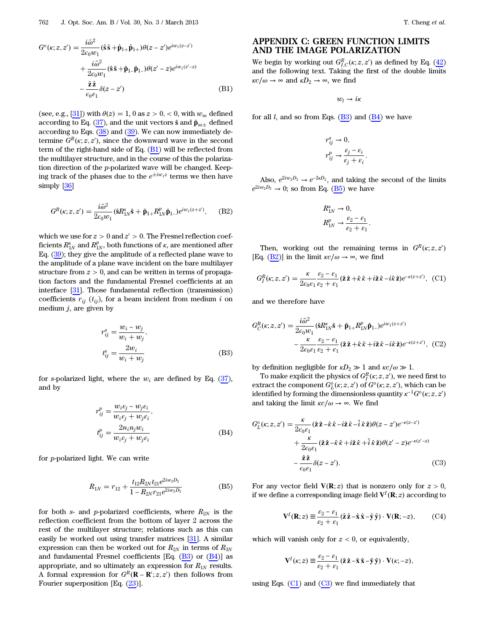$$
G^o(\kappa; z, z') = \frac{i\tilde{\omega}^2}{2\epsilon_0 w_1} (\hat{\mathbf{s}} \hat{\mathbf{s}} + \hat{\mathbf{p}}_{1+}) \theta(z - z') e^{iw_1(z - z')}
$$
  
+ 
$$
\frac{i\tilde{\omega}^2}{2\epsilon_0 w_1} (\hat{\mathbf{s}} \hat{\mathbf{s}} + \hat{\mathbf{p}}_{1-}) \theta(z' - z) e^{iw_1(z' - z)}
$$
  
- 
$$
\frac{\hat{\mathbf{z}} \hat{\mathbf{z}}}{\epsilon_0 \epsilon_1} \delta(z - z')
$$
(B1)

(see, e.g.,  $[31]$  $[31]$ ) with  $\theta(z) = 1$ , 0 as  $z > 0$ , < 0, with  $w_m$  defined according to Eq. ([37\)](#page-5-6), and the unit vectors  $\hat{\mathbf{s}}$  and  $\hat{\mathbf{p}}_{m\pm}$  defined according to Eqs.  $(38)$  $(38)$  and  $(39)$  $(39)$ . We can now immediately determine  $G^R(\kappa; z, z')$ , since the downward wave in the second term of the right-hand side of Eq. ([B1](#page-18-5)) will be reflected from the multilayer structure, and in the course of this the polarization direction of the p-polarized wave will be changed. Keeping track of the phases due to the  $e^{\pm iw_1z}$  terms we then have simply [[36\]](#page-22-28)

<span id="page-19-4"></span>
$$
G^{R}(\kappa; z, z') = \frac{i\tilde{\omega}^{2}}{2\epsilon_{0}w_{1}} (\hat{\mathbf{s}}R_{1N}^{s}\hat{\mathbf{s}} + \hat{\mathbf{p}}_{1+}R_{1N}^{p}\hat{\mathbf{p}}_{1-})e^{iw_{1}(z+z)}, \quad (B2)
$$

<span id="page-19-1"></span>which we use for  $z > 0$  and  $z' > 0$ . The Fresnel reflection coefficients  $R_{1N}^{\rm s}$  and  $R_{1N}^{\rm p}$ , both functions of  $\kappa,$  are mentioned after Eq. ([39\)](#page-5-8); they give the amplitude of a reflected plane wave to the amplitude of a plane wave incident on the bare multilayer structure from  $z > 0$ , and can be written in terms of propagation factors and the fundamental Fresnel coefficients at an interface [[31\]](#page-22-23). Those fundamental reflection (transmission) coefficients  $r_{ij}$  ( $t_{ij}$ ), for a beam incident from medium i on medium  $j$ , are given by

$$
r_{ij}^s = \frac{w_i - w_j}{w_i + w_j},
$$
  
\n
$$
t_{ij}^s = \frac{2w_i}{w_i + w_j}
$$
 (B3)

<span id="page-19-2"></span>for s-polarized light, where the  $w_i$  are defined by Eq. [\(37](#page-5-6)), and by

$$
r_{ij}^p = \frac{w_i \varepsilon_j - w_j \varepsilon_i}{w_i \varepsilon_j + w_j \varepsilon_i},
$$
  
\n
$$
t_{ij}^p = \frac{2n_i n_j w_i}{w_i \varepsilon_j + w_j \varepsilon_i}
$$
 (B4)

<span id="page-19-3"></span>for p-polarized light. We can write

$$
R_{1N} = r_{12} + \frac{t_{12}R_{2N}t_{21}e^{2iw_2D_2}}{1 - R_{2N}r_{21}e^{2iw_2D_2}}
$$
(B5)

for both s- and p-polarized coefficients, where  $R_{2N}$  is the reflection coefficient from the bottom of layer 2 across the rest of the multilayer structure; relations such as this can easily be worked out using transfer matrices [\[31](#page-22-23)]. A similar expression can then be worked out for  $R_{2N}$  in terms of  $R_{3N}$ and fundamental Fresnel coefficients [Eq.  $(B3)$  or  $(B4)$  $(B4)$  $(B4)$ ] as appropriate, and so ultimately an expression for  $R_{1N}$  results. A formal expression for  $G^R$ (**R** – **R**′;  $z$ ,  $z'$ ) then follows from Fourier superposition [Eq. [\(23](#page-3-5))].

## APPENDIX C: GREEN FUNCTION LIMITS AND THE IMAGE POLARIZATION

We begin by working out  $G_{I,C}^R(\kappa;z,z')$  as defined by Eq. ([42\)](#page-5-11) and the following text. Taking the first of the double limits  $\kappa c/\omega \to \infty$  and  $\kappa D_2 \to \infty$ , we find

 $w_l \rightarrow i\kappa$ 

for all  $l$ , and so from Eqs. ([B3](#page-19-1)) and ([B4](#page-19-2)) we have

$$
r_{ij}^s \rightarrow 0,
$$
  

$$
r_{ij}^p \rightarrow \frac{\varepsilon_j - \varepsilon_i}{\varepsilon_j + \varepsilon_i}
$$

:

:

Also,  $e^{2iw_2D_2} \rightarrow e^{-2\kappa D_2}$ , and taking the second of the limits  $e^{2iw_2D_2} \rightarrow 0$ ; so from Eq. [\(B5\)](#page-19-3) we have

$$
R_{1N}^s \to 0,
$$
  

$$
R_{1N}^p \to \frac{\varepsilon_2 - \varepsilon_1}{\varepsilon_2 + \varepsilon_1}
$$

<span id="page-19-5"></span>Then, working out the remaining terms in  $G^R(\kappa; z, z)$ [Eq. [\(B2\)](#page-19-4)] in the limit  $\kappa c/\omega \to \infty$ , we find

$$
G_I^R(\kappa; z, z') = \frac{\kappa}{2\varepsilon_0 \varepsilon_1} \frac{\varepsilon_2 - \varepsilon_1}{\varepsilon_2 + \varepsilon_1} (\hat{\mathbf{z}} \hat{\mathbf{z}} + \hat{\kappa} \hat{\kappa} + i\hat{\mathbf{z}} \hat{\kappa} - i\hat{\kappa} \hat{\mathbf{z}}) e^{-\kappa(z + z')}, \quad (C1)
$$

and we therefore have

$$
G_C^R(\kappa; z, z') = \frac{i\tilde{\omega}^2}{2\epsilon_0 w_1} (\hat{\mathbf{s}} R_{1N}^s \hat{\mathbf{s}} + \hat{\mathbf{p}}_{1+} R_{1N}^p \hat{\mathbf{p}}_{1-}) e^{i w_1(z+z')}
$$

$$
- \frac{\kappa}{2\epsilon_0 \epsilon_1} \frac{\epsilon_2 - \epsilon_1}{\epsilon_2 + \epsilon_1} (\hat{\mathbf{z}} \hat{\mathbf{z}} + \hat{\kappa} \hat{\mathbf{k}} + i\hat{\mathbf{z}} \hat{\mathbf{k}} - i\hat{\kappa} \hat{\mathbf{z}}) e^{-\kappa(z+z')}, \quad (C2)
$$

by definition negligible for  $\kappa D_2 \gg 1$  and  $\kappa c/\omega \gg 1$ .

<span id="page-19-0"></span>To make explicit the physics of  $G_I^R(\kappa;z,z')$ , we need first to extract the component  $G_L^o(\kappa;z,z')$  of  $G^o(\kappa;z,z')$ , which can be identified by forming the dimensionless quantity  $\kappa^{-1}G^o(\kappa;z,z')$ and taking the limit  $\kappa c/\omega \to \infty$ . We find

$$
G_L^o(\kappa; z, z') = \frac{\kappa}{2\epsilon_0 \epsilon_1} (\hat{\mathbf{z}} \hat{\mathbf{z}} - \hat{\kappa} \hat{\kappa} - i\hat{\mathbf{z}} \hat{\kappa} - \hat{i} \hat{\kappa} \hat{\mathbf{z}}) \theta(z - z') e^{-\kappa(z - z')}
$$
  
+ 
$$
\frac{\kappa}{2\epsilon_0 \epsilon_1} (\hat{\mathbf{z}} \hat{\mathbf{z}} - \hat{\kappa} \hat{\kappa} + i\hat{\mathbf{z}} \hat{\kappa} + i\hat{\kappa} \hat{\mathbf{z}}) \theta(z' - z) e^{-\kappa(z' - z)}
$$
  
- 
$$
\frac{\hat{\mathbf{z}} \hat{\mathbf{z}}}{\epsilon_0 \epsilon_1} \delta(z - z').
$$
 (C3)

<span id="page-19-7"></span>For any vector field  $V(R; z)$  that is nonzero only for  $z > 0$ , if we define a corresponding image field  ${\bf V}^{I}({\bf R};z)$  according to

$$
\mathbf{V}^{I}(\mathbf{R};z) \equiv \frac{\varepsilon_{2} - \varepsilon_{1}}{\varepsilon_{2} + \varepsilon_{1}} (\hat{\mathbf{z}} \hat{\mathbf{z}} - \hat{\mathbf{x}} \hat{\mathbf{x}} - \hat{\mathbf{y}} \hat{\mathbf{y}}) \cdot \mathbf{V}(\mathbf{R}; -z), \quad (C4)
$$

<span id="page-19-6"></span>which will vanish only for  $z < 0$ , or equivalently,

$$
\mathbf{V}^{I}(\kappa;z)\equiv\frac{\varepsilon_{2}-\varepsilon_{1}}{\varepsilon_{2}+\varepsilon_{1}}(\hat{\mathbf{z}}\,\hat{\mathbf{z}}-\hat{\mathbf{x}}\,\hat{\mathbf{x}}-\hat{\mathbf{y}}\,\hat{\mathbf{y}})\cdot\mathbf{V}(\kappa;-z),
$$

using Eqs.  $(C1)$  and  $(C3)$  we find immediately that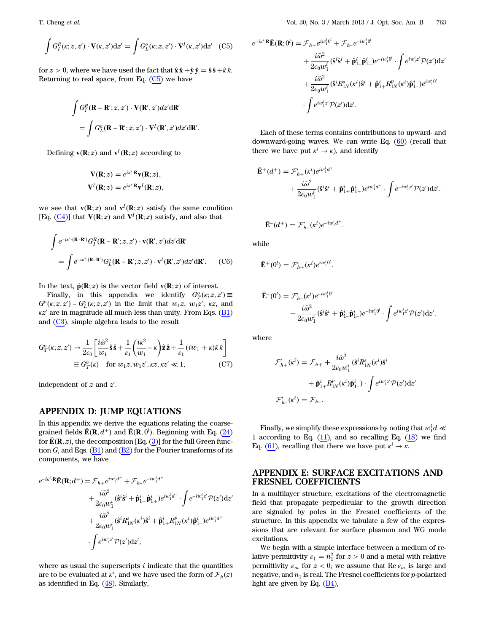$$
\int G_I^R(\kappa; z, z') \cdot \mathbf{V}(\kappa, z') dz' = \int G_L^o(\kappa; z, z') \cdot \mathbf{V}^I(\kappa, z') dz' \quad \text{(C5)}
$$

for  $z > 0$ , where we have used the fact that  $\hat{\mathbf{x}} \hat{\mathbf{x}} + \hat{\mathbf{y}} \hat{\mathbf{y}} = \hat{\mathbf{s}} \hat{\mathbf{s}} + \hat{\mathbf{r}} \hat{\mathbf{x}}$ . Returning to real space, from Eq.  $(C5)$  $(C5)$  $(C5)$  we have

$$
\int G_I^R(\mathbf{R} - \mathbf{R}'; z, z') \cdot \mathbf{V}(\mathbf{R}', z') dz' d\mathbf{R}'
$$

$$
= \int G_L^o(\mathbf{R} - \mathbf{R}'; z, z') \cdot \mathbf{V}^I(\mathbf{R}', z') dz' d\mathbf{R}'
$$

:

Defining  $\mathbf{v}(\mathbf{R}; z)$  and  $\mathbf{v}^I(\mathbf{R}; z)$  according to

$$
\mathbf{V}(\mathbf{R};z) = e^{i\kappa^i \cdot \mathbf{R}} \mathbf{v}(\mathbf{R};z),
$$
  

$$
\mathbf{V}^I(\mathbf{R};z) = e^{i\kappa^i \cdot \mathbf{R}} \mathbf{v}^I(\mathbf{R};z),
$$

we see that  $\mathbf{v}(\mathbf{R};z)$  and  $\mathbf{v}^I(\mathbf{R};z)$  satisfy the same condition [Eq. ( $\underline{C4}$ )] that  $V(R; z)$  and  $V^I(R; z)$  satisfy, and also that

$$
\int e^{-ix^i \cdot (\mathbf{R} - \mathbf{R}')} G_I^R(\mathbf{R} - \mathbf{R}'; z, z') \cdot \mathbf{v}(\mathbf{R}', z') dz' d\mathbf{R}'
$$
\n
$$
= \int e^{-ix^i \cdot (\mathbf{R} - \mathbf{R}')} G_L^o(\mathbf{R} - \mathbf{R}'; z, z') \cdot \mathbf{v}^I(\mathbf{R}', z') dz' d\mathbf{R}'.
$$
 (C6)

In the text,  $\tilde{p}(\mathbf{R}; z)$  is the vector field  $\mathbf{v}(\mathbf{R}; z)$  of interest.

<span id="page-20-0"></span>Finally, in this appendix we identify  $G_T^o(\kappa; z, z') \equiv$  $G^{\circ}(\kappa; z, z') - G^{\circ}_L(\kappa; z, z')$  in the limit that  $w_1z, w_1z', \kappa z$ , and  $\kappa z'$  are in magnitude all much less than unity. From Eqs. [\(B1\)](#page-18-5) and [\(C3\)](#page-19-0), simple algebra leads to the result

$$
G_T^o(\kappa; z, z') \to \frac{1}{2\epsilon_0} \left[ \frac{i\tilde{\omega}^2}{w_1} \hat{\mathbf{s}} \hat{\mathbf{s}} + \frac{1}{\epsilon_1} \left( \frac{i\kappa^2}{w_1} - \kappa \right) \hat{\mathbf{z}} \hat{\mathbf{z}} + \frac{1}{\epsilon_1} (iw_1 + \kappa) \hat{\kappa} \hat{\kappa} \right]
$$
  
\n
$$
\equiv G_T^o(\kappa) \quad \text{for } w_1 z, w_1 z', \kappa z, \kappa z' \ll 1,
$$
 (C7)

independent of  $z$  and  $z'$ .

## APPENDIX D: JUMP EQUATIONS

In this appendix we derive the equations relating the coarsegrained fields  $\bar{\mathbf{E}}(\mathbf{R}, d^+)$  and  $\bar{\mathbf{E}}(\mathbf{R}, 0^l)$ . Beginning with Eq. ([24\)](#page-3-10) for  $\bar{\mathbf{E}}(\mathbf{R}, z)$ , the decomposition [Eq. ([3](#page-2-10))] for the full Green function  $G$ , and Eqs. [\(B1\)](#page-18-5) and [\(B2](#page-19-4)) for the Fourier transforms of its components, we have

$$
e^{-i\kappa^i \cdot \mathbf{R}} \bar{\mathbf{E}}(\mathbf{R}; d^+) = \mathcal{F}_{h+} e^{iw_1^i d^+} + \mathcal{F}_{h-} e^{-iw_1^i d^+} + \frac{i\tilde{\omega}^2}{2\epsilon_0 w_1^i} (\hat{\mathbf{s}}^i \hat{\mathbf{s}}^i + \hat{\mathbf{p}}_{1+}^i \hat{\mathbf{p}}_{1+}^i) e^{iw_1^i d^+} \cdot \int e^{-iw_1^i z'} \mathcal{P}(z') dz' + \frac{i\tilde{\omega}^2}{2\epsilon_0 w_1^i} (\hat{\mathbf{s}}^i R_{1N}^s (\kappa^i) \hat{\mathbf{s}}^i + \hat{\mathbf{p}}_{1+}^i R_{1N}^p (\kappa^i) \hat{\mathbf{p}}_{1-}^i) e^{iw_1^i d^+} - \int e^{iw_1^i z'} \mathcal{P}(z') dz',
$$

where as usual the superscripts  $i$  indicate that the quantities are to be evaluated at  $\kappa^i$ , and we have used the form of  $\mathcal{F}_h(z)$ as identified in Eq. ([48\)](#page-6-0). Similarly,

$$
e^{-i\kappa^i \cdot \mathbf{R}} \bar{\mathbf{E}}(\mathbf{R}; 0^l) = \mathcal{F}_{h+} e^{i w_1^i 0^l} + \mathcal{F}_{h-} e^{-i w_1^i 0^l} + \frac{i \tilde{\omega}^2}{2 \epsilon_0 w_1^i} (\hat{\mathbf{s}}^i \hat{\mathbf{s}}^i + \hat{\mathbf{p}}_{1-}^i \hat{\mathbf{p}}_{1-}^i) e^{-i w_1^i 0^l} \cdot \int e^{i w_1^i z'} \mathcal{P}(z') \mathrm{d}z' + \frac{i \tilde{\omega}^2}{2 \epsilon_0 w_1^i} (\hat{\mathbf{s}}^i R_{1N}^s (\kappa^i) \hat{\mathbf{s}}^i + \hat{\mathbf{p}}_{1+}^i R_{1N}^p (\kappa^i) \hat{\mathbf{p}}_{1-}^i) e^{i w_1^i 0^l} - \int e^{i w_1^i z'} \mathcal{P}(z') \mathrm{d}z'.
$$

Each of these terms contains contributions to upward- and downward-going waves. We can write Eq.  $(60)$  $(60)$  (recall that there we have put  $\kappa^i \to \kappa$ ), and identify

$$
\begin{split} \bar{\mathbf{E}}^{+}(d^{+}) &=\mathcal{F}_{h+}^{\prime}(\kappa^{i})e^{iw_{1}^{i}d^{+}} \\ &+ \frac{i\tilde{\omega}^{2}}{2\epsilon_{0}w_{1}^{i}}(\hat{\mathbf{s}}^{i}\hat{\mathbf{s}}^{i}+\hat{\mathbf{p}}_{1+}^{i}\hat{\mathbf{p}}_{1+}^{i})e^{iw_{1}^{i}d^{+}} \cdot\int e^{-iw_{1}^{i}\mathbf{z}^{\prime}}\mathcal{P}(\mathbf{z}^{\prime})\mathrm{d}\mathbf{z}^{\prime}. \end{split}
$$

$$
\bar{\mathbf{E}}(d^+) = \mathcal{F}'_{h^-}(\kappa^i) e^{-iw_1^id^+}.
$$

while

$$
\bar{\mathbf{E}}^+(0^l) = \mathcal{F}'_{h+}(\kappa^i)e^{iw_1^i 0^l}.
$$

$$
\begin{split} \bar{\mathbf{E}}^-(0^l) &= \mathcal{F}_{h-}'(\kappa^i)e^{-iw_1^i0^l} \\ &+ \frac{i\tilde{\omega}^2}{2\varepsilon_0w_1^i}(\hat{\mathbf{s}}^i\hat{\mathbf{s}}^i+\hat{\mathbf{p}}_{1-}^i\hat{\mathbf{p}}_{1-}^i)e^{-iw_1^i0^l} \cdot \int e^{iw_1^i z^l}\mathcal{P}(z^{\prime})\mathrm{d}z^{\prime}. \end{split}
$$

where

$$
\mathcal{F}_{h+}'(\kappa^i) = \mathcal{F}_{h+} + \frac{i\tilde{\omega}^2}{2\epsilon_0 w_1^i} (\hat{\mathbf{s}}^i R_{1N}^s(\kappa^i) \hat{\mathbf{s}}^i
$$

$$
+ \hat{\mathbf{p}}_{1+}^i R_{1N}^p(\kappa^i) \hat{\mathbf{p}}_{1-}^i) \cdot \int e^{i w_1^i z'} \mathcal{P}(z') dz'
$$

$$
\mathcal{F}_{h-}'(\kappa^i) = \mathcal{F}_{h-}.
$$

Finally, we simplify these expressions by noting that  $w_1^id \ll$ 1 according to Eq.  $(11)$  $(11)$ , and so recalling Eq.  $(18)$  $(18)$  we find Eq. [\(61](#page-8-1)), recalling that there we have put  $\kappa^i \to \kappa$ .

## APPENDIX E: SURFACE EXCITATIONS AND FRESNEL COEFFICIENTS

In a multilayer structure, excitations of the electromagnetic field that propagate perpedicular to the growth direction are signaled by poles in the Fresnel coefficients of the structure. In this appendix we tabulate a few of the expressions that are relevant for surface plasmon and WG mode excitations.

<span id="page-20-1"></span>We begin with a simple interface between a medium of relative permittivity  $\varepsilon_1 = n_1^2$  for  $z > 0$  and a metal with relative permittivity  $\varepsilon_m$  for  $z < 0$ ; we assume that Re  $\varepsilon_m$  is large and negative, and  $n_1$  is real. The Fresnel coefficients for  $p$ -polarized light are given by Eq. [\(B4](#page-19-2)),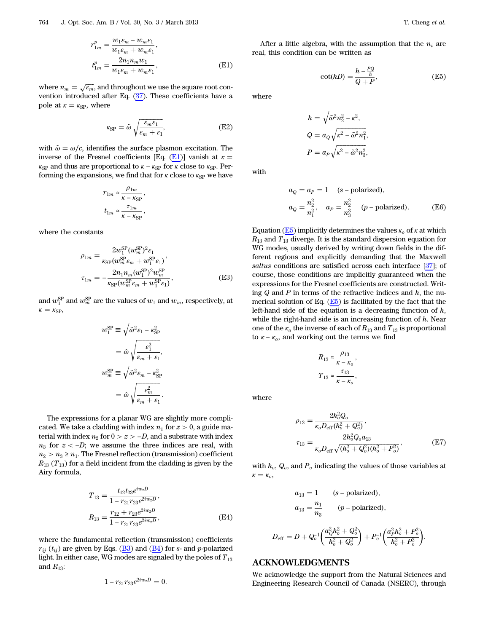$$
r_{1m}^{p} = \frac{w_{1} \varepsilon_{m} - w_{m} \varepsilon_{1}}{w_{1} \varepsilon_{m} + w_{m} \varepsilon_{1}},
$$
  
\n
$$
t_{1m}^{p} = \frac{2n_{1}n_{m}w_{1}}{w_{1} \varepsilon_{m} + w_{m} \varepsilon_{1}},
$$
\n(E1)

where  $n_m = \sqrt{\varepsilon_m}$ , and throughout we use the square root convention introduced after Eq.  $(37)$ . These coefficients have a pole at  $\kappa = \kappa_{\rm SP}$ , where

$$
\kappa_{\rm SP} = \tilde{\omega} \sqrt{\frac{\varepsilon_m \varepsilon_1}{\varepsilon_m + \varepsilon_1}},\tag{E2}
$$

with  $\tilde{\omega} = \omega/c$ , identifies the surface plasmon excitation. The inverse of the Fresnel coefficients [Eq. ([E1](#page-20-1))] vanish at  $\kappa =$  $\kappa_{\rm SP}$  and thus are proportional to  $\kappa - \kappa_{\rm SP}$  for  $\kappa$  close to  $\kappa_{\rm SP}$ . Performing the expansions, we find that for  $\kappa$  close to  $\kappa_{\text{SP}}$  we have

$$
r_{1m} \approx \frac{\rho_{1m}}{\kappa - \kappa_{\rm SP}},
$$

$$
t_{1m} \approx \frac{\tau_{1m}}{\kappa - \kappa_{\rm SP}},
$$

<span id="page-21-1"></span>where the constants

$$
\rho_{1m} = \frac{2w_1^{\text{SP}}(w_m^{\text{SP}})^2 \epsilon_1}{\kappa_{\text{SP}}(w_m^{\text{SP}} \epsilon_m + w_1^{\text{SP}} \epsilon_1)},
$$
  

$$
\tau_{1m} = -\frac{2n_1 n_m (w_1^{\text{SP}})^2 w_m^{\text{SP}}}{\kappa_{\text{SP}}(w_m^{\text{SP}} \epsilon_m + w_1^{\text{SP}} \epsilon_1)},
$$
(E3)

and  $w_1^{\text{SP}}$  and  $w_m^{\text{SP}}$  are the values of  $w_1$  and  $w_m$ , respectively, at  $\kappa = \kappa_{\rm SP}$ ,

$$
w_1^{\text{SP}} \equiv \sqrt{\tilde{\omega}^2 \varepsilon_1 - \kappa_{\text{SP}}^2}
$$

$$
= \tilde{\omega} \sqrt{\frac{\varepsilon_1^2}{\varepsilon_m + \varepsilon_1}},
$$

$$
w_m^{\text{SP}} \equiv \sqrt{\tilde{\omega}^2 \varepsilon_m - \kappa_{\text{SP}}^2}
$$

$$
= \tilde{\omega} \sqrt{\frac{\varepsilon_m^2}{\varepsilon_m + \varepsilon_1}}.
$$

The expressions for a planar WG are slightly more complicated. We take a cladding with index  $n_1$  for  $z > 0$ , a guide material with index  $n_2$  for  $0 > z > -D$ , and a substrate with index  $n_3$  for  $z < -D$ ; we assume the three indices are real, with  $n_2 > n_3 \geq n_1$ . The Fresnel reflection (transmission) coefficient  $R_{13}$  (T<sub>13</sub>) for a field incident from the cladding is given by the Airy formula,

$$
T_{13} = \frac{t_{12}t_{23}e^{iw_2D}}{1 - r_{21}r_{23}e^{2iw_2D}},
$$
  
\n
$$
R_{13} = \frac{r_{12} + r_{23}e^{2iw_2D}}{1 - r_{21}r_{23}e^{2iw_2D}},
$$
 (E4)

where the fundamental reflection (transmission) coefficients  $r_{ii}$  ( $t_{ii}$ ) are given by Eqs. ([B3](#page-19-1)) and [\(B4\)](#page-19-2) for s- and p-polarized light. In either case, WG modes are signaled by the poles of  $T_{13}$ and  $R_{13}$ :

$$
1 - r_{21}r_{23}e^{2iw_2D} = 0.
$$

<span id="page-21-2"></span>After a little algebra, with the assumption that the  $n_i$  are real, this condition can be written as

$$
\cot(hD) = \frac{h - \frac{PQ}{h}}{Q + P},
$$
 (E5)

where

$$
h = \sqrt{\tilde{\omega}^2 n_2^2 - \kappa^2},
$$
  
\n
$$
Q = a_Q \sqrt{\kappa^2 - \tilde{\omega}^2 n_1^2},
$$
  
\n
$$
P = a_P \sqrt{\kappa^2 - \tilde{\omega}^2 n_3^2},
$$

with

$$
a_Q = a_P = 1 \quad (s - polarized),
$$
  
\n
$$
a_Q = \frac{n_2^2}{n_1^2}, \quad a_P = \frac{n_2^2}{n_3^3} \quad (p - polarized). \tag{E6}
$$

Equation ( $E_5$ ) implicitly determines the values  $\kappa_o$  of  $\kappa$  at which  $R_{13}$  and  $T_{13}$  diverge. It is the standard dispersion equation for WG modes, usually derived by writing down fields in the different regions and explicitly demanding that the Maxwell saltus conditions are satisfied across each interface [[37\]](#page-22-29); of course, those conditions are implicitly guaranteed when the expressions for the Fresnel coefficients are constructed. Writing  $Q$  and  $P$  in terms of the refractive indices and  $h$ , the numerical solution of Eq.  $(E5)$  is facilitated by the fact that the left-hand side of the equation is a decreasing function of  $h$ , while the right-hand side is an increasing function of  $h$ . Near one of the  $\kappa_0$  the inverse of each of  $R_{13}$  and  $T_{13}$  is proportional to  $\kappa - \kappa_o$ , and working out the terms we find

$$
R_{13} \approx \frac{\rho_{13}}{\kappa - \kappa_o},
$$
  

$$
T_{13} \approx \frac{\tau_{13}}{\kappa - \kappa_o},
$$

<span id="page-21-0"></span>where

$$
\rho_{13} = \frac{2h_o^2 Q_o}{\kappa_o D_{\text{eff}}(h_o^2 + Q_o^2)},
$$
  
\n
$$
\tau_{13} = \frac{2h_o^2 Q_o a_{13}}{\kappa_o D_{\text{eff}} \sqrt{(h_o^2 + Q_o^2)(h_o^2 + P_o^2)}},
$$
\n(E7)

:

with  $h_o$ ,  $Q_o$ , and  $P_o$  indicating the values of those variables at  $\kappa = \kappa_o$ 

$$
a_{13} = 1 \t (s - polarized),
$$
  
\n
$$
a_{13} = \frac{n_1}{n_3} \t (p - polarized),
$$
  
\n
$$
D_{\text{eff}} = D + Q_o^{-1} \left( \frac{a_0^2 h_o^2 + Q_o^2}{h_o^2 + Q_o^2} \right) + P_o^{-1} \left( \frac{a_p^2 h_o^2 + P_o^2}{h_o^2 + P_o^2} \right)
$$

## ACKNOWLEDGMENTS

We acknowledge the support from the Natural Sciences and Engineering Research Council of Canada (NSERC), through